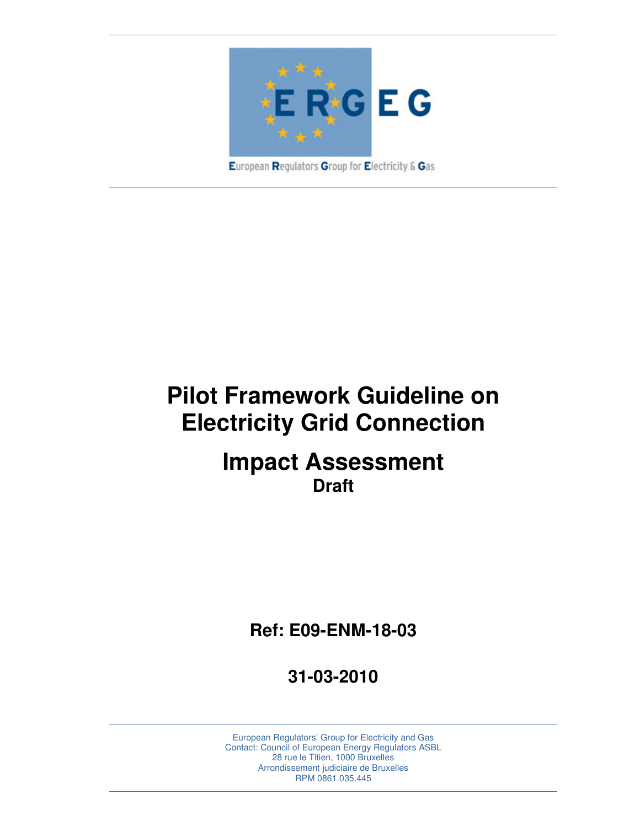

**Pilot Framework Guideline on Electricity Grid Connection** 

# **Impact Assessment Draft**

**Ref: E09-ENM-18-03** 

**31-03-2010**

European Regulators' Group for Electricity and Gas Contact: Council of European Energy Regulators ASBL 28 rue le Titien, 1000 Bruxelles Arrondissement judiciaire de Bruxelles RPM 0861.035.445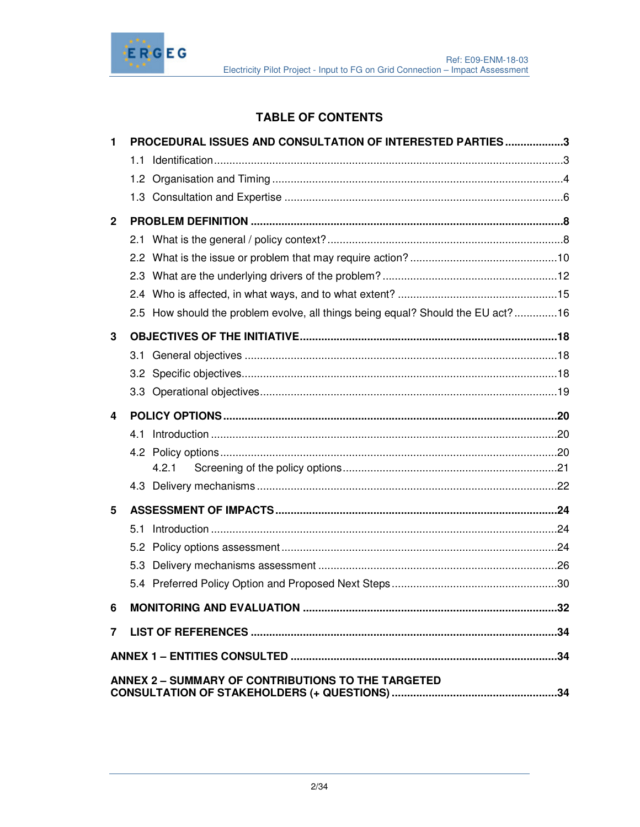

# **TABLE OF CONTENTS**

| 1            | PROCEDURAL ISSUES AND CONSULTATION OF INTERESTED PARTIES3                       |  |
|--------------|---------------------------------------------------------------------------------|--|
|              |                                                                                 |  |
|              |                                                                                 |  |
|              |                                                                                 |  |
| $\mathbf{2}$ |                                                                                 |  |
|              |                                                                                 |  |
|              |                                                                                 |  |
|              |                                                                                 |  |
|              |                                                                                 |  |
|              | 2.5 How should the problem evolve, all things being equal? Should the EU act?16 |  |
| 3            |                                                                                 |  |
|              |                                                                                 |  |
|              |                                                                                 |  |
|              |                                                                                 |  |
| 4            |                                                                                 |  |
|              |                                                                                 |  |
|              |                                                                                 |  |
|              | 4.2.1                                                                           |  |
|              |                                                                                 |  |
| 5            |                                                                                 |  |
|              |                                                                                 |  |
|              |                                                                                 |  |
|              |                                                                                 |  |
|              |                                                                                 |  |
| 6            |                                                                                 |  |
|              |                                                                                 |  |
|              |                                                                                 |  |
|              | ANNEX 2 - SUMMARY OF CONTRIBUTIONS TO THE TARGETED                              |  |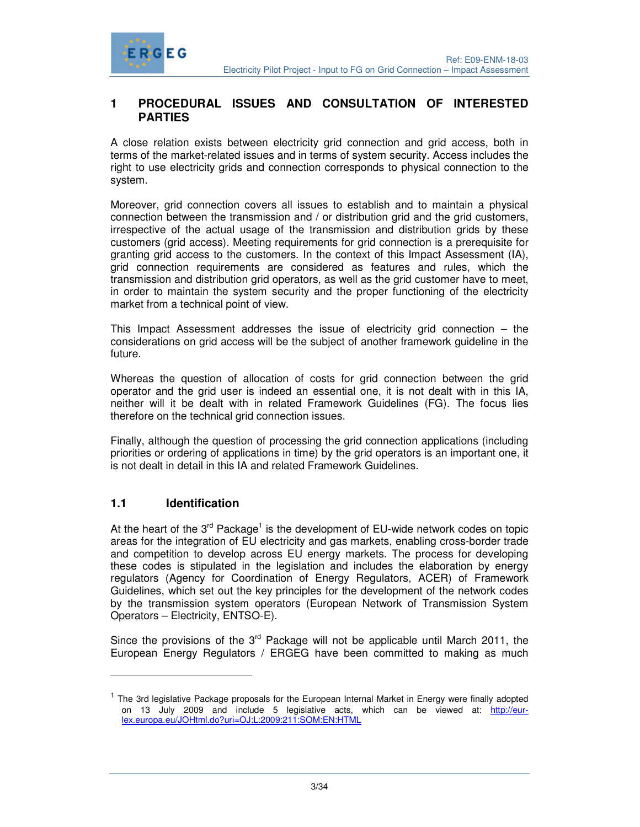

### **1 PROCEDURAL ISSUES AND CONSULTATION OF INTERESTED PARTIES**

A close relation exists between electricity grid connection and grid access, both in terms of the market-related issues and in terms of system security. Access includes the right to use electricity grids and connection corresponds to physical connection to the system.

Moreover, grid connection covers all issues to establish and to maintain a physical connection between the transmission and / or distribution grid and the grid customers, irrespective of the actual usage of the transmission and distribution grids by these customers (grid access). Meeting requirements for grid connection is a prerequisite for granting grid access to the customers. In the context of this Impact Assessment (IA), grid connection requirements are considered as features and rules, which the transmission and distribution grid operators, as well as the grid customer have to meet, in order to maintain the system security and the proper functioning of the electricity market from a technical point of view.

This Impact Assessment addresses the issue of electricity grid connection – the considerations on grid access will be the subject of another framework guideline in the future.

Whereas the question of allocation of costs for grid connection between the grid operator and the grid user is indeed an essential one, it is not dealt with in this IA, neither will it be dealt with in related Framework Guidelines (FG). The focus lies therefore on the technical grid connection issues.

Finally, although the question of processing the grid connection applications (including priorities or ordering of applications in time) by the grid operators is an important one, it is not dealt in detail in this IA and related Framework Guidelines.

# **1.1 Identification**

-

At the heart of the  $3<sup>rd</sup>$  Package<sup>1</sup> is the development of EU-wide network codes on topic areas for the integration of EU electricity and gas markets, enabling cross-border trade and competition to develop across EU energy markets. The process for developing these codes is stipulated in the legislation and includes the elaboration by energy regulators (Agency for Coordination of Energy Regulators, ACER) of Framework Guidelines, which set out the key principles for the development of the network codes by the transmission system operators (European Network of Transmission System Operators – Electricity, ENTSO-E).

Since the provisions of the  $3<sup>rd</sup>$  Package will not be applicable until March 2011, the European Energy Regulators / ERGEG have been committed to making as much

<sup>&</sup>lt;sup>1</sup> The 3rd legislative Package proposals for the European Internal Market in Energy were finally adopted on 13 July 2009 and include 5 legislative acts, which can be viewed at: http://eurlex.europa.eu/JOHtml.do?uri=OJ:L:2009:211:SOM:EN:HTML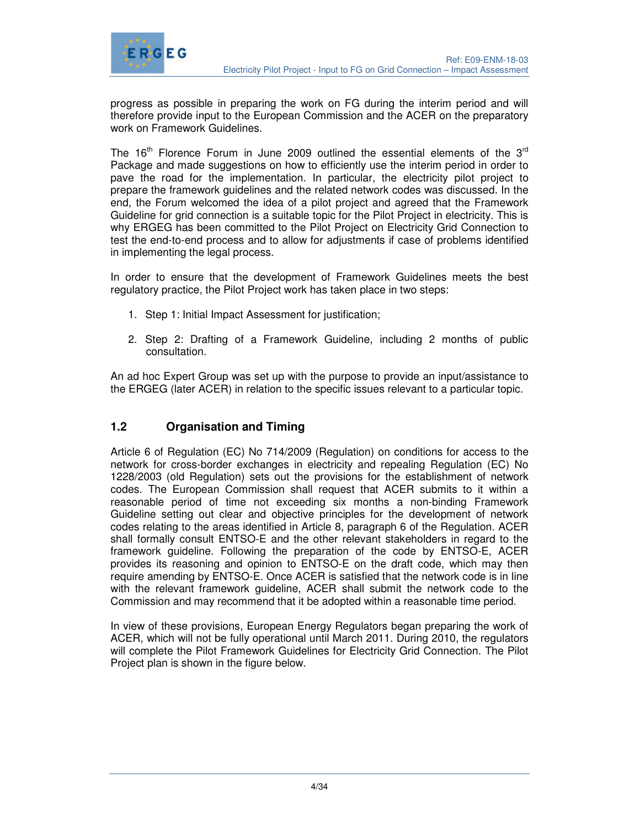

progress as possible in preparing the work on FG during the interim period and will therefore provide input to the European Commission and the ACER on the preparatory work on Framework Guidelines.

The 16<sup>th</sup> Florence Forum in June 2009 outlined the essential elements of the 3<sup>rd</sup> Package and made suggestions on how to efficiently use the interim period in order to pave the road for the implementation. In particular, the electricity pilot project to prepare the framework guidelines and the related network codes was discussed. In the end, the Forum welcomed the idea of a pilot project and agreed that the Framework Guideline for grid connection is a suitable topic for the Pilot Project in electricity. This is why ERGEG has been committed to the Pilot Project on Electricity Grid Connection to test the end-to-end process and to allow for adjustments if case of problems identified in implementing the legal process.

In order to ensure that the development of Framework Guidelines meets the best regulatory practice, the Pilot Project work has taken place in two steps:

- 1. Step 1: Initial Impact Assessment for justification;
- 2. Step 2: Drafting of a Framework Guideline, including 2 months of public consultation.

An ad hoc Expert Group was set up with the purpose to provide an input/assistance to the ERGEG (later ACER) in relation to the specific issues relevant to a particular topic.

# **1.2 Organisation and Timing**

Article 6 of Regulation (EC) No 714/2009 (Regulation) on conditions for access to the network for cross-border exchanges in electricity and repealing Regulation (EC) No 1228/2003 (old Regulation) sets out the provisions for the establishment of network codes. The European Commission shall request that ACER submits to it within a reasonable period of time not exceeding six months a non-binding Framework Guideline setting out clear and objective principles for the development of network codes relating to the areas identified in Article 8, paragraph 6 of the Regulation. ACER shall formally consult ENTSO-E and the other relevant stakeholders in regard to the framework guideline. Following the preparation of the code by ENTSO-E, ACER provides its reasoning and opinion to ENTSO-E on the draft code, which may then require amending by ENTSO-E. Once ACER is satisfied that the network code is in line with the relevant framework guideline, ACER shall submit the network code to the Commission and may recommend that it be adopted within a reasonable time period.

In view of these provisions, European Energy Regulators began preparing the work of ACER, which will not be fully operational until March 2011. During 2010, the regulators will complete the Pilot Framework Guidelines for Electricity Grid Connection. The Pilot Project plan is shown in the figure below.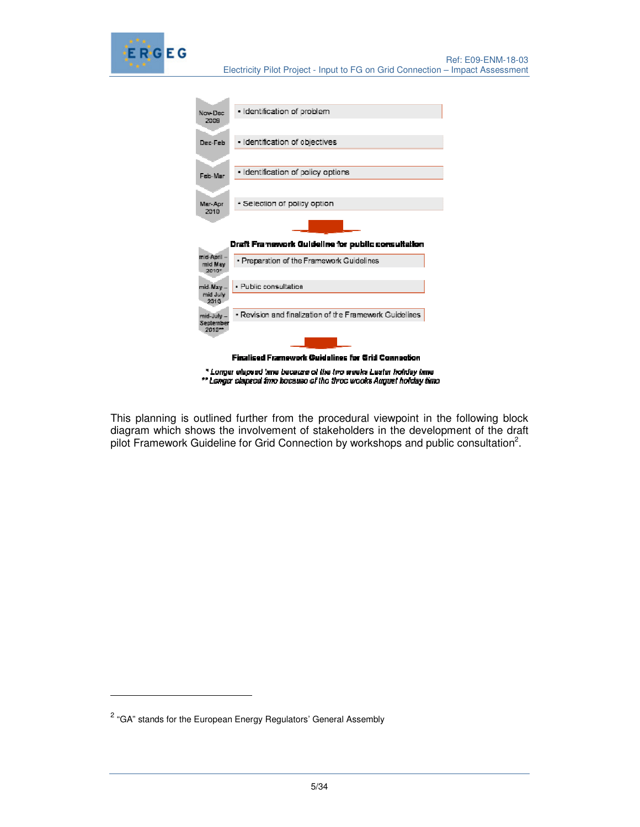

| Nov-Dec                | · Identification of problem                               |
|------------------------|-----------------------------------------------------------|
| 2009                   |                                                           |
| Dec-Feb                | · Identification of objectives                            |
|                        |                                                           |
| Helts-Main             | Identification of policy options<br>×,                    |
|                        |                                                           |
| Mar-Aor<br>2010        | · Selection of policy option                              |
|                        |                                                           |
|                        |                                                           |
|                        |                                                           |
|                        | Draft Framework Guideline for public consultation         |
| mid-April -<br>mid May | · Preparation of the Framework Guidelines                 |
| 20102                  |                                                           |
| mid-May-               | · Public consultation                                     |
| mid July<br>2010       |                                                           |
| mid-July -             | · Revision and finalization of the Framework Guidelines   |
| September<br>2010**    |                                                           |
|                        |                                                           |
|                        | <b>Finalised Framework Guidelines for Grid Connection</b> |

\*\* Longer clapsed time because of the three weeks August holday time

This planning is outlined further from the procedural viewpoint in the following block diagram which shows the involvement of stakeholders in the development of the draft pilot Framework Guideline for Grid Connection by workshops and public consultation<sup>2</sup>.

-

<sup>&</sup>lt;sup>2</sup> "GA" stands for the European Energy Regulators' General Assembly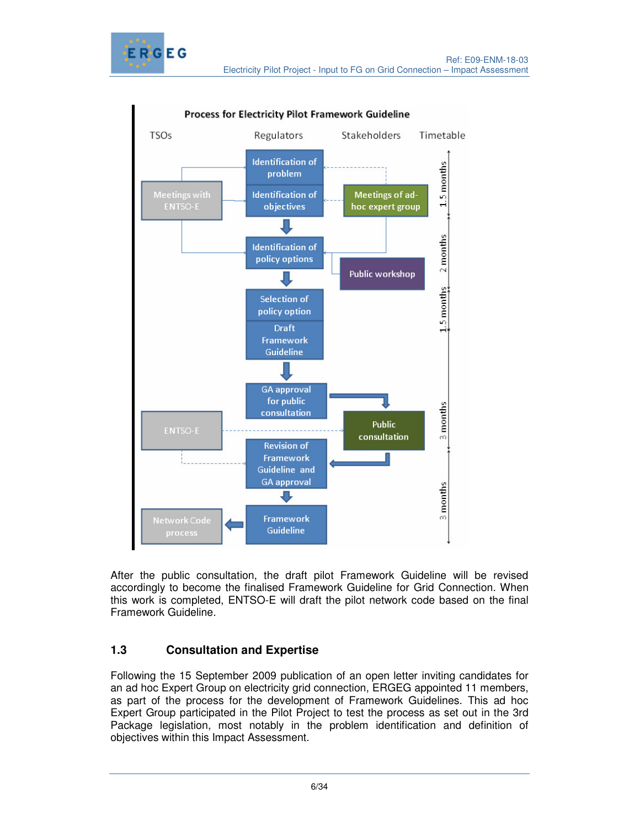



Process for Electricity Pilot Framework Guideline

After the public consultation, the draft pilot Framework Guideline will be revised accordingly to become the finalised Framework Guideline for Grid Connection. When this work is completed, ENTSO-E will draft the pilot network code based on the final Framework Guideline.

# **1.3 Consultation and Expertise**

Following the 15 September 2009 publication of an open letter inviting candidates for an ad hoc Expert Group on electricity grid connection, ERGEG appointed 11 members, as part of the process for the development of Framework Guidelines. This ad hoc Expert Group participated in the Pilot Project to test the process as set out in the 3rd Package legislation, most notably in the problem identification and definition of objectives within this Impact Assessment.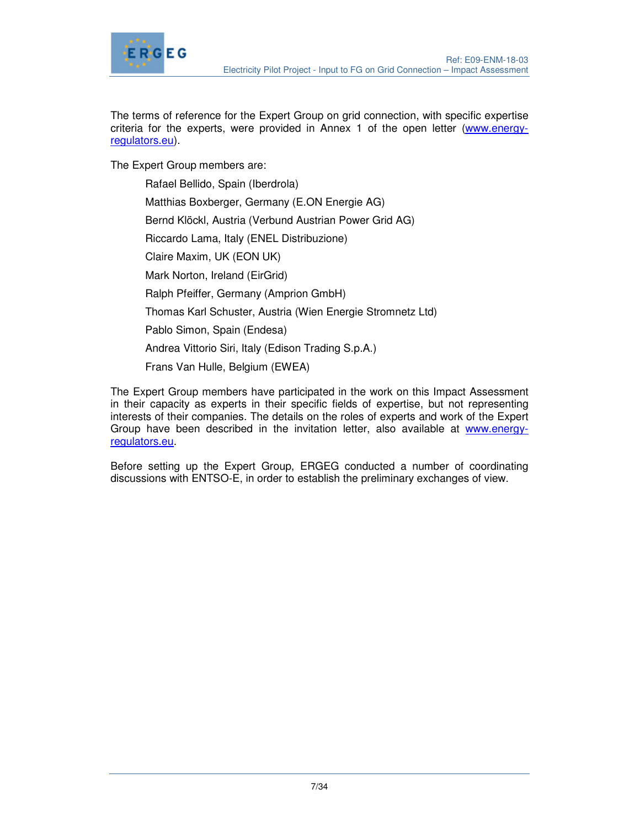

The terms of reference for the Expert Group on grid connection, with specific expertise criteria for the experts, were provided in Annex 1 of the open letter (www.energyregulators.eu).

The Expert Group members are:

Rafael Bellido, Spain (Iberdrola) Matthias Boxberger, Germany (E.ON Energie AG) Bernd Klöckl, Austria (Verbund Austrian Power Grid AG) Riccardo Lama, Italy (ENEL Distribuzione) Claire Maxim, UK (EON UK) Mark Norton, Ireland (EirGrid) Ralph Pfeiffer, Germany (Amprion GmbH) Thomas Karl Schuster, Austria (Wien Energie Stromnetz Ltd) Pablo Simon, Spain (Endesa) Andrea Vittorio Siri, Italy (Edison Trading S.p.A.) Frans Van Hulle, Belgium (EWEA)

The Expert Group members have participated in the work on this Impact Assessment in their capacity as experts in their specific fields of expertise, but not representing interests of their companies. The details on the roles of experts and work of the Expert Group have been described in the invitation letter, also available at www.energyregulators.eu.

Before setting up the Expert Group, ERGEG conducted a number of coordinating discussions with ENTSO-E, in order to establish the preliminary exchanges of view.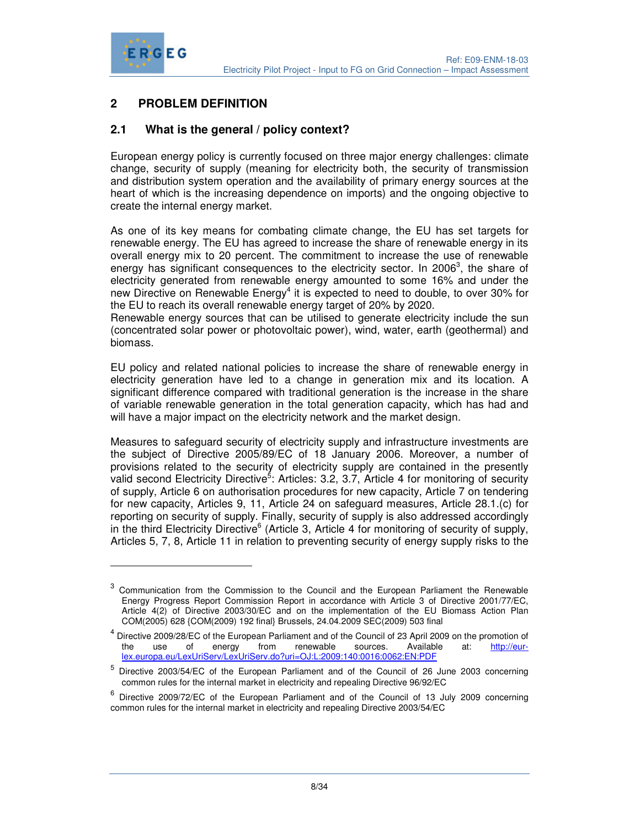

-

# **2 PROBLEM DEFINITION**

### **2.1 What is the general / policy context?**

European energy policy is currently focused on three major energy challenges: climate change, security of supply (meaning for electricity both, the security of transmission and distribution system operation and the availability of primary energy sources at the heart of which is the increasing dependence on imports) and the ongoing objective to create the internal energy market.

As one of its key means for combating climate change, the EU has set targets for renewable energy. The EU has agreed to increase the share of renewable energy in its overall energy mix to 20 percent. The commitment to increase the use of renewable energy has significant consequences to the electricity sector. In 2006<sup>3</sup>, the share of electricity generated from renewable energy amounted to some 16% and under the new Directive on Renewable Energy<sup>4</sup> it is expected to need to double, to over 30% for the EU to reach its overall renewable energy target of 20% by 2020.

Renewable energy sources that can be utilised to generate electricity include the sun (concentrated solar power or photovoltaic power), wind, water, earth (geothermal) and biomass.

EU policy and related national policies to increase the share of renewable energy in electricity generation have led to a change in generation mix and its location. A significant difference compared with traditional generation is the increase in the share of variable renewable generation in the total generation capacity, which has had and will have a major impact on the electricity network and the market design.

Measures to safeguard security of electricity supply and infrastructure investments are the subject of Directive 2005/89/EC of 18 January 2006. Moreover, a number of provisions related to the security of electricity supply are contained in the presently valid second Electricity Directive<sup>5</sup>: Articles: 3.2, 3.7, Article 4 for monitoring of security of supply, Article 6 on authorisation procedures for new capacity, Article 7 on tendering for new capacity, Articles 9, 11, Article 24 on safeguard measures, Article 28.1.(c) for reporting on security of supply. Finally, security of supply is also addressed accordingly in the third Electricity Directive<sup>6</sup> (Article 3, Article 4 for monitoring of security of supply, Articles 5, 7, 8, Article 11 in relation to preventing security of energy supply risks to the

<sup>3</sup> Communication from the Commission to the Council and the European Parliament the Renewable Energy Progress Report Commission Report in accordance with Article 3 of Directive 2001/77/EC, Article 4(2) of Directive 2003/30/EC and on the implementation of the EU Biomass Action Plan COM(2005) 628 {COM(2009) 192 final} Brussels, 24.04.2009 SEC(2009) 503 final

<sup>&</sup>lt;sup>4</sup> Directive 2009/28/EC of the European Parliament and of the Council of 23 April 2009 on the promotion of the use of energy from renewable sources. Available at: <u>http://eur-</u> lex.europa.eu/LexUriServ/LexUriServ.do?uri=OJ:L:2009:140:0016:0062:EN:PDF

<sup>5</sup> Directive 2003/54/EC of the European Parliament and of the Council of 26 June 2003 concerning common rules for the internal market in electricity and repealing Directive 96/92/EC

<sup>&</sup>lt;sup>6</sup> Directive 2009/72/EC of the European Parliament and of the Council of 13 July 2009 concerning common rules for the internal market in electricity and repealing Directive 2003/54/EC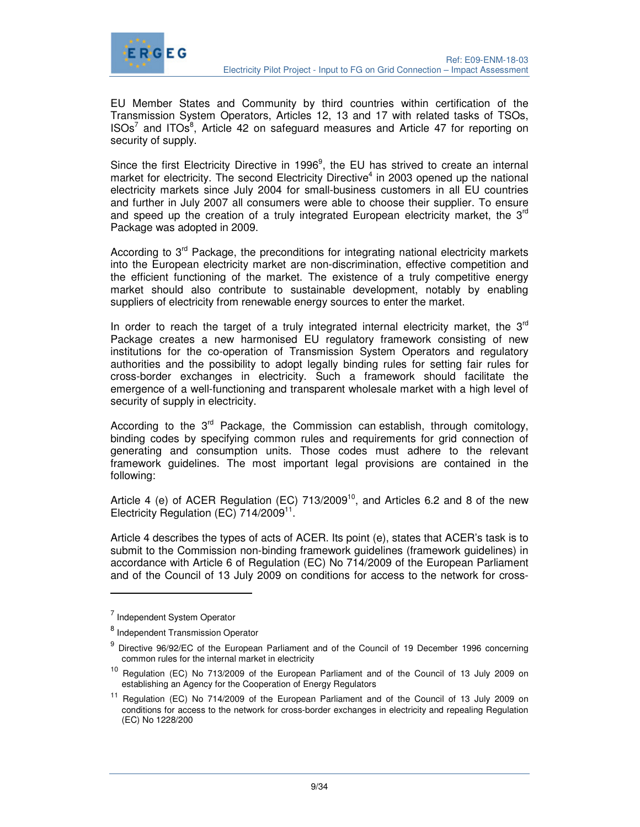

EU Member States and Community by third countries within certification of the Transmission System Operators, Articles 12, 13 and 17 with related tasks of TSOs,  $ISO<sup>7</sup>$  and ITOs<sup>8</sup>, Article 42 on safeguard measures and Article 47 for reporting on security of supply.

Since the first Electricity Directive in 1996 $9$ , the EU has strived to create an internal market for electricity. The second Electricity Directive<sup>4</sup> in 2003 opened up the national electricity markets since July 2004 for small-business customers in all EU countries and further in July 2007 all consumers were able to choose their supplier. To ensure and speed up the creation of a truly integrated European electricity market, the 3<sup>rd</sup> Package was adopted in 2009.

According to  $3<sup>rd</sup>$  Package, the preconditions for integrating national electricity markets into the European electricity market are non-discrimination, effective competition and the efficient functioning of the market. The existence of a truly competitive energy market should also contribute to sustainable development, notably by enabling suppliers of electricity from renewable energy sources to enter the market.

In order to reach the target of a truly integrated internal electricity market, the  $3<sup>rd</sup>$ Package creates a new harmonised EU regulatory framework consisting of new institutions for the co-operation of Transmission System Operators and regulatory authorities and the possibility to adopt legally binding rules for setting fair rules for cross-border exchanges in electricity. Such a framework should facilitate the emergence of a well-functioning and transparent wholesale market with a high level of security of supply in electricity.

According to the  $3<sup>rd</sup>$  Package, the Commission can establish, through comitology, binding codes by specifying common rules and requirements for grid connection of generating and consumption units. Those codes must adhere to the relevant framework guidelines. The most important legal provisions are contained in the following:

Article 4 (e) of ACER Regulation (EC)  $713/2009^{10}$ , and Articles 6.2 and 8 of the new Electricity Regulation (EC) 714/2009<sup>11</sup>.

Article 4 describes the types of acts of ACER. Its point (e), states that ACER's task is to submit to the Commission non-binding framework guidelines (framework guidelines) in accordance with Article 6 of Regulation (EC) No 714/2009 of the European Parliament and of the Council of 13 July 2009 on conditions for access to the network for cross-

-

<sup>&</sup>lt;sup>7</sup> Independent System Operator

<sup>&</sup>lt;sup>8</sup> Independent Transmission Operator

<sup>&</sup>lt;sup>9</sup> Directive 96/92/EC of the European Parliament and of the Council of 19 December 1996 concerning common rules for the internal market in electricity

<sup>&</sup>lt;sup>10</sup> Regulation (EC) No 713/2009 of the European Parliament and of the Council of 13 July 2009 on establishing an Agency for the Cooperation of Energy Regulators

<sup>11</sup> Regulation (EC) No 714/2009 of the European Parliament and of the Council of 13 July 2009 on conditions for access to the network for cross-border exchanges in electricity and repealing Regulation (EC) No 1228/200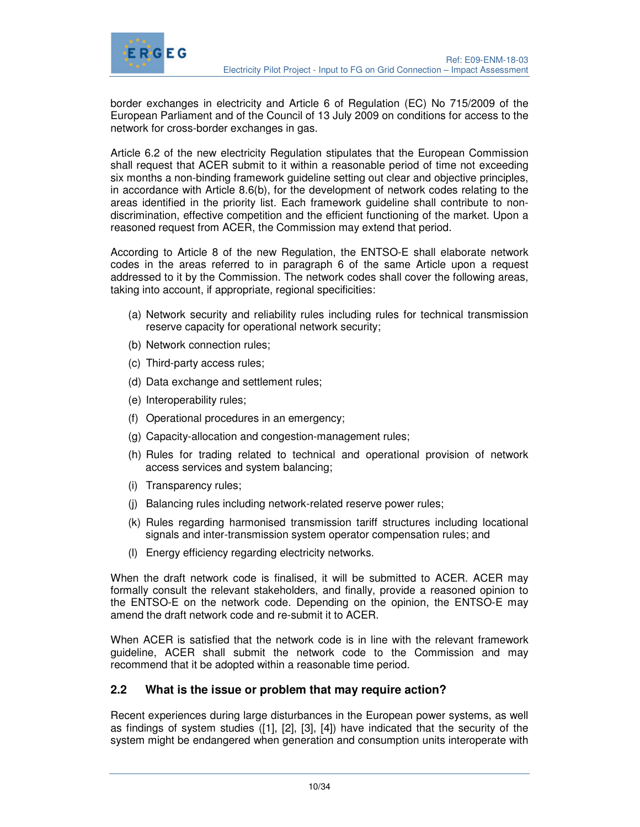



border exchanges in electricity and Article 6 of Regulation (EC) No 715/2009 of the European Parliament and of the Council of 13 July 2009 on conditions for access to the network for cross-border exchanges in gas.

Article 6.2 of the new electricity Regulation stipulates that the European Commission shall request that ACER submit to it within a reasonable period of time not exceeding six months a non-binding framework guideline setting out clear and objective principles, in accordance with Article 8.6(b), for the development of network codes relating to the areas identified in the priority list. Each framework guideline shall contribute to nondiscrimination, effective competition and the efficient functioning of the market. Upon a reasoned request from ACER, the Commission may extend that period.

According to Article 8 of the new Regulation, the ENTSO-E shall elaborate network codes in the areas referred to in paragraph 6 of the same Article upon a request addressed to it by the Commission. The network codes shall cover the following areas, taking into account, if appropriate, regional specificities:

- (a) Network security and reliability rules including rules for technical transmission reserve capacity for operational network security;
- (b) Network connection rules;
- (c) Third-party access rules;
- (d) Data exchange and settlement rules;
- (e) Interoperability rules;
- (f) Operational procedures in an emergency;
- (g) Capacity-allocation and congestion-management rules;
- (h) Rules for trading related to technical and operational provision of network access services and system balancing;
- (i) Transparency rules;
- (j) Balancing rules including network-related reserve power rules;
- (k) Rules regarding harmonised transmission tariff structures including locational signals and inter-transmission system operator compensation rules; and
- (l) Energy efficiency regarding electricity networks.

When the draft network code is finalised, it will be submitted to ACER. ACER may formally consult the relevant stakeholders, and finally, provide a reasoned opinion to the ENTSO-E on the network code. Depending on the opinion, the ENTSO-E may amend the draft network code and re-submit it to ACER.

When ACER is satisfied that the network code is in line with the relevant framework guideline, ACER shall submit the network code to the Commission and may recommend that it be adopted within a reasonable time period.

### **2.2 What is the issue or problem that may require action?**

Recent experiences during large disturbances in the European power systems, as well as findings of system studies ([1], [2], [3], [4]) have indicated that the security of the system might be endangered when generation and consumption units interoperate with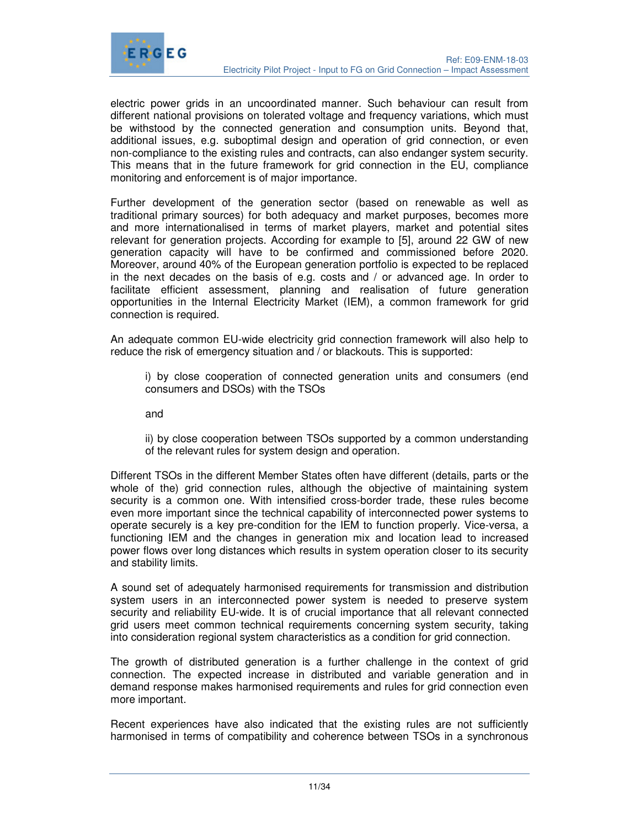

electric power grids in an uncoordinated manner. Such behaviour can result from different national provisions on tolerated voltage and frequency variations, which must be withstood by the connected generation and consumption units. Beyond that, additional issues, e.g. suboptimal design and operation of grid connection, or even non-compliance to the existing rules and contracts, can also endanger system security. This means that in the future framework for grid connection in the EU, compliance monitoring and enforcement is of major importance.

Further development of the generation sector (based on renewable as well as traditional primary sources) for both adequacy and market purposes, becomes more and more internationalised in terms of market players, market and potential sites relevant for generation projects. According for example to [5], around 22 GW of new generation capacity will have to be confirmed and commissioned before 2020. Moreover, around 40% of the European generation portfolio is expected to be replaced in the next decades on the basis of e.g. costs and / or advanced age. In order to facilitate efficient assessment, planning and realisation of future generation opportunities in the Internal Electricity Market (IEM), a common framework for grid connection is required.

An adequate common EU-wide electricity grid connection framework will also help to reduce the risk of emergency situation and / or blackouts. This is supported:

i) by close cooperation of connected generation units and consumers (end consumers and DSOs) with the TSOs

and

ii) by close cooperation between TSOs supported by a common understanding of the relevant rules for system design and operation.

Different TSOs in the different Member States often have different (details, parts or the whole of the) grid connection rules, although the objective of maintaining system security is a common one. With intensified cross-border trade, these rules become even more important since the technical capability of interconnected power systems to operate securely is a key pre-condition for the IEM to function properly. Vice-versa, a functioning IEM and the changes in generation mix and location lead to increased power flows over long distances which results in system operation closer to its security and stability limits.

A sound set of adequately harmonised requirements for transmission and distribution system users in an interconnected power system is needed to preserve system security and reliability EU-wide. It is of crucial importance that all relevant connected grid users meet common technical requirements concerning system security, taking into consideration regional system characteristics as a condition for grid connection.

The growth of distributed generation is a further challenge in the context of grid connection. The expected increase in distributed and variable generation and in demand response makes harmonised requirements and rules for grid connection even more important.

Recent experiences have also indicated that the existing rules are not sufficiently harmonised in terms of compatibility and coherence between TSOs in a synchronous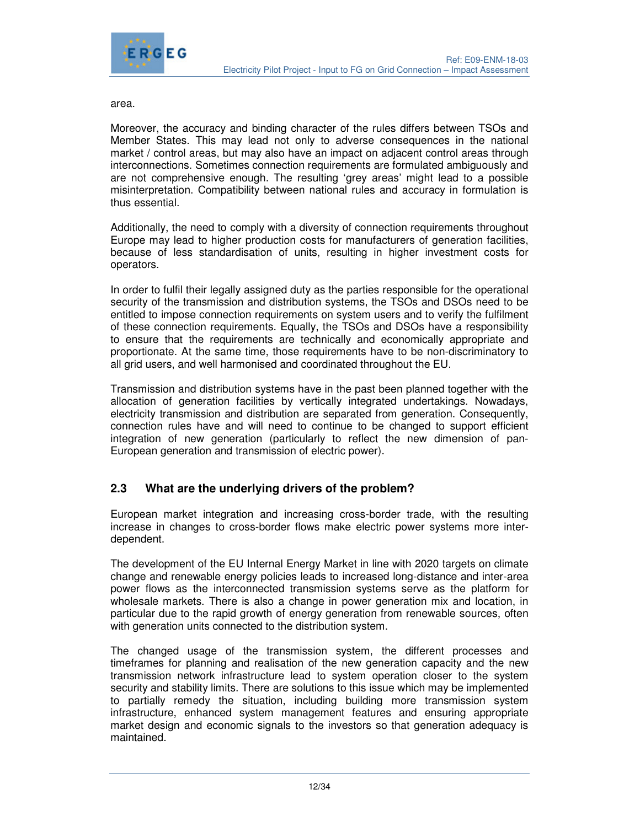

area.

Moreover, the accuracy and binding character of the rules differs between TSOs and Member States. This may lead not only to adverse consequences in the national market / control areas, but may also have an impact on adjacent control areas through interconnections. Sometimes connection requirements are formulated ambiguously and are not comprehensive enough. The resulting 'grey areas' might lead to a possible misinterpretation. Compatibility between national rules and accuracy in formulation is thus essential.

Additionally, the need to comply with a diversity of connection requirements throughout Europe may lead to higher production costs for manufacturers of generation facilities, because of less standardisation of units, resulting in higher investment costs for operators.

In order to fulfil their legally assigned duty as the parties responsible for the operational security of the transmission and distribution systems, the TSOs and DSOs need to be entitled to impose connection requirements on system users and to verify the fulfilment of these connection requirements. Equally, the TSOs and DSOs have a responsibility to ensure that the requirements are technically and economically appropriate and proportionate. At the same time, those requirements have to be non-discriminatory to all grid users, and well harmonised and coordinated throughout the EU.

Transmission and distribution systems have in the past been planned together with the allocation of generation facilities by vertically integrated undertakings. Nowadays, electricity transmission and distribution are separated from generation. Consequently, connection rules have and will need to continue to be changed to support efficient integration of new generation (particularly to reflect the new dimension of pan-European generation and transmission of electric power).

### **2.3 What are the underlying drivers of the problem?**

European market integration and increasing cross-border trade, with the resulting increase in changes to cross-border flows make electric power systems more interdependent.

The development of the EU Internal Energy Market in line with 2020 targets on climate change and renewable energy policies leads to increased long-distance and inter-area power flows as the interconnected transmission systems serve as the platform for wholesale markets. There is also a change in power generation mix and location, in particular due to the rapid growth of energy generation from renewable sources, often with generation units connected to the distribution system.

The changed usage of the transmission system, the different processes and timeframes for planning and realisation of the new generation capacity and the new transmission network infrastructure lead to system operation closer to the system security and stability limits. There are solutions to this issue which may be implemented to partially remedy the situation, including building more transmission system infrastructure, enhanced system management features and ensuring appropriate market design and economic signals to the investors so that generation adequacy is maintained.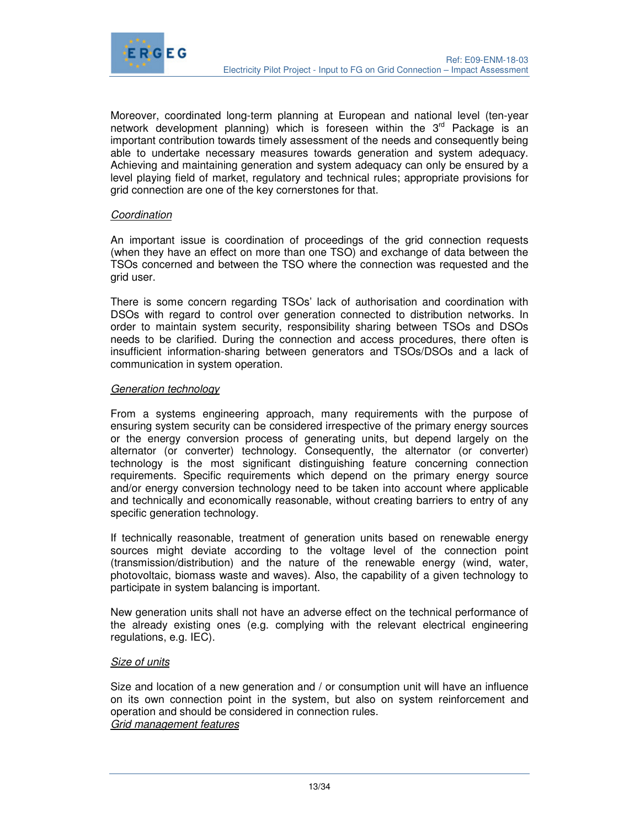

Moreover, coordinated long-term planning at European and national level (ten-year network development planning) which is foreseen within the  $3<sup>rd</sup>$  Package is an important contribution towards timely assessment of the needs and consequently being able to undertake necessary measures towards generation and system adequacy. Achieving and maintaining generation and system adequacy can only be ensured by a level playing field of market, regulatory and technical rules; appropriate provisions for grid connection are one of the key cornerstones for that.

#### Coordination

An important issue is coordination of proceedings of the grid connection requests (when they have an effect on more than one TSO) and exchange of data between the TSOs concerned and between the TSO where the connection was requested and the grid user.

There is some concern regarding TSOs' lack of authorisation and coordination with DSOs with regard to control over generation connected to distribution networks. In order to maintain system security, responsibility sharing between TSOs and DSOs needs to be clarified. During the connection and access procedures, there often is insufficient information-sharing between generators and TSOs/DSOs and a lack of communication in system operation.

#### Generation technology

From a systems engineering approach, many requirements with the purpose of ensuring system security can be considered irrespective of the primary energy sources or the energy conversion process of generating units, but depend largely on the alternator (or converter) technology. Consequently, the alternator (or converter) technology is the most significant distinguishing feature concerning connection requirements. Specific requirements which depend on the primary energy source and/or energy conversion technology need to be taken into account where applicable and technically and economically reasonable, without creating barriers to entry of any specific generation technology.

If technically reasonable, treatment of generation units based on renewable energy sources might deviate according to the voltage level of the connection point (transmission/distribution) and the nature of the renewable energy (wind, water, photovoltaic, biomass waste and waves). Also, the capability of a given technology to participate in system balancing is important.

New generation units shall not have an adverse effect on the technical performance of the already existing ones (e.g. complying with the relevant electrical engineering regulations, e.g. IEC).

#### Size of units

Size and location of a new generation and / or consumption unit will have an influence on its own connection point in the system, but also on system reinforcement and operation and should be considered in connection rules. Grid management features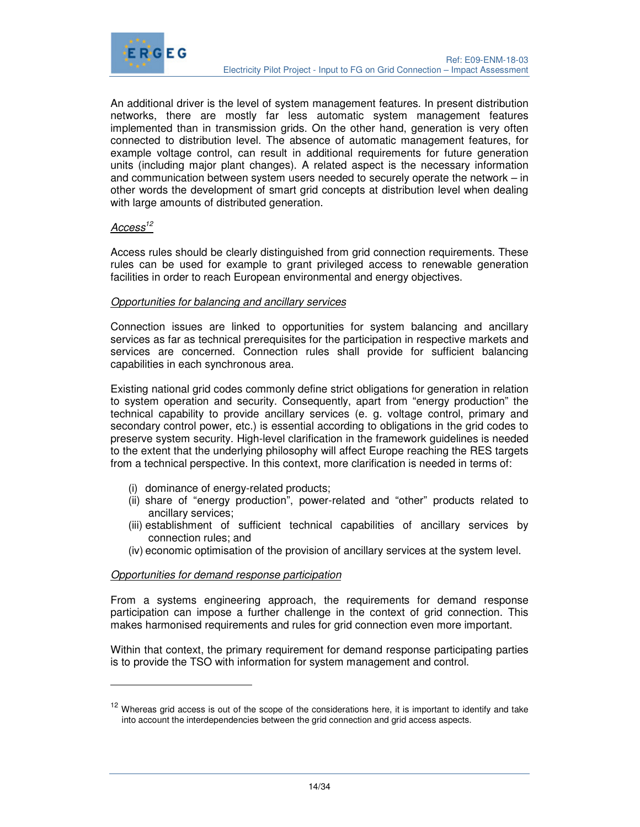

An additional driver is the level of system management features. In present distribution networks, there are mostly far less automatic system management features implemented than in transmission grids. On the other hand, generation is very often connected to distribution level. The absence of automatic management features, for example voltage control, can result in additional requirements for future generation units (including major plant changes). A related aspect is the necessary information and communication between system users needed to securely operate the network – in other words the development of smart grid concepts at distribution level when dealing with large amounts of distributed generation.

### Access<sup>12</sup>

-

Access rules should be clearly distinguished from grid connection requirements. These rules can be used for example to grant privileged access to renewable generation facilities in order to reach European environmental and energy objectives.

#### Opportunities for balancing and ancillary services

Connection issues are linked to opportunities for system balancing and ancillary services as far as technical prerequisites for the participation in respective markets and services are concerned. Connection rules shall provide for sufficient balancing capabilities in each synchronous area.

Existing national grid codes commonly define strict obligations for generation in relation to system operation and security. Consequently, apart from "energy production" the technical capability to provide ancillary services (e. g. voltage control, primary and secondary control power, etc.) is essential according to obligations in the grid codes to preserve system security. High-level clarification in the framework guidelines is needed to the extent that the underlying philosophy will affect Europe reaching the RES targets from a technical perspective. In this context, more clarification is needed in terms of:

- (i) dominance of energy-related products;
- (ii) share of "energy production", power-related and "other" products related to ancillary services;
- (iii) establishment of sufficient technical capabilities of ancillary services by connection rules; and
- (iv) economic optimisation of the provision of ancillary services at the system level.

#### Opportunities for demand response participation

From a systems engineering approach, the requirements for demand response participation can impose a further challenge in the context of grid connection. This makes harmonised requirements and rules for grid connection even more important.

Within that context, the primary requirement for demand response participating parties is to provide the TSO with information for system management and control.

<sup>&</sup>lt;sup>12</sup> Whereas grid access is out of the scope of the considerations here, it is important to identify and take into account the interdependencies between the grid connection and grid access aspects.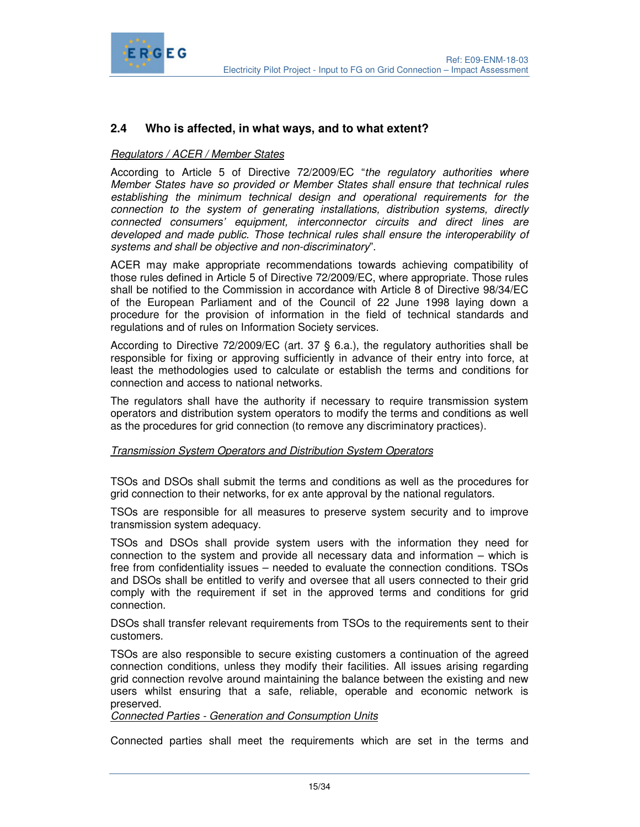

### **2.4 Who is affected, in what ways, and to what extent?**

#### Regulators / ACER / Member States

According to Article 5 of Directive 72/2009/EC "the regulatory authorities where Member States have so provided or Member States shall ensure that technical rules establishing the minimum technical design and operational requirements for the connection to the system of generating installations, distribution systems, directly connected consumers' equipment, interconnector circuits and direct lines are developed and made public. Those technical rules shall ensure the interoperability of systems and shall be objective and non-discriminatory".

ACER may make appropriate recommendations towards achieving compatibility of those rules defined in Article 5 of Directive 72/2009/EC, where appropriate. Those rules shall be notified to the Commission in accordance with Article 8 of Directive 98/34/EC of the European Parliament and of the Council of 22 June 1998 laying down a procedure for the provision of information in the field of technical standards and regulations and of rules on Information Society services.

According to Directive 72/2009/EC (art. 37 § 6.a.), the regulatory authorities shall be responsible for fixing or approving sufficiently in advance of their entry into force, at least the methodologies used to calculate or establish the terms and conditions for connection and access to national networks.

The regulators shall have the authority if necessary to require transmission system operators and distribution system operators to modify the terms and conditions as well as the procedures for grid connection (to remove any discriminatory practices).

#### Transmission System Operators and Distribution System Operators

TSOs and DSOs shall submit the terms and conditions as well as the procedures for grid connection to their networks, for ex ante approval by the national regulators.

TSOs are responsible for all measures to preserve system security and to improve transmission system adequacy.

TSOs and DSOs shall provide system users with the information they need for connection to the system and provide all necessary data and information – which is free from confidentiality issues – needed to evaluate the connection conditions. TSOs and DSOs shall be entitled to verify and oversee that all users connected to their grid comply with the requirement if set in the approved terms and conditions for grid connection.

DSOs shall transfer relevant requirements from TSOs to the requirements sent to their customers.

TSOs are also responsible to secure existing customers a continuation of the agreed connection conditions, unless they modify their facilities. All issues arising regarding grid connection revolve around maintaining the balance between the existing and new users whilst ensuring that a safe, reliable, operable and economic network is preserved.

Connected Parties - Generation and Consumption Units

Connected parties shall meet the requirements which are set in the terms and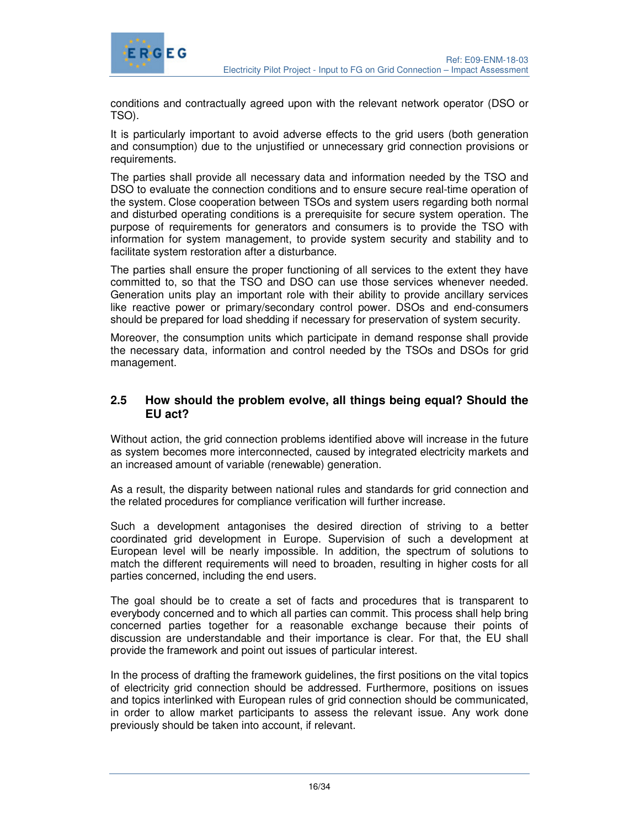



conditions and contractually agreed upon with the relevant network operator (DSO or TSO).

It is particularly important to avoid adverse effects to the grid users (both generation and consumption) due to the unjustified or unnecessary grid connection provisions or requirements.

The parties shall provide all necessary data and information needed by the TSO and DSO to evaluate the connection conditions and to ensure secure real-time operation of the system. Close cooperation between TSOs and system users regarding both normal and disturbed operating conditions is a prerequisite for secure system operation. The purpose of requirements for generators and consumers is to provide the TSO with information for system management, to provide system security and stability and to facilitate system restoration after a disturbance.

The parties shall ensure the proper functioning of all services to the extent they have committed to, so that the TSO and DSO can use those services whenever needed. Generation units play an important role with their ability to provide ancillary services like reactive power or primary/secondary control power. DSOs and end-consumers should be prepared for load shedding if necessary for preservation of system security.

Moreover, the consumption units which participate in demand response shall provide the necessary data, information and control needed by the TSOs and DSOs for grid management.

### **2.5 How should the problem evolve, all things being equal? Should the EU act?**

Without action, the grid connection problems identified above will increase in the future as system becomes more interconnected, caused by integrated electricity markets and an increased amount of variable (renewable) generation.

As a result, the disparity between national rules and standards for grid connection and the related procedures for compliance verification will further increase.

Such a development antagonises the desired direction of striving to a better coordinated grid development in Europe. Supervision of such a development at European level will be nearly impossible. In addition, the spectrum of solutions to match the different requirements will need to broaden, resulting in higher costs for all parties concerned, including the end users.

The goal should be to create a set of facts and procedures that is transparent to everybody concerned and to which all parties can commit. This process shall help bring concerned parties together for a reasonable exchange because their points of discussion are understandable and their importance is clear. For that, the EU shall provide the framework and point out issues of particular interest.

In the process of drafting the framework guidelines, the first positions on the vital topics of electricity grid connection should be addressed. Furthermore, positions on issues and topics interlinked with European rules of grid connection should be communicated, in order to allow market participants to assess the relevant issue. Any work done previously should be taken into account, if relevant.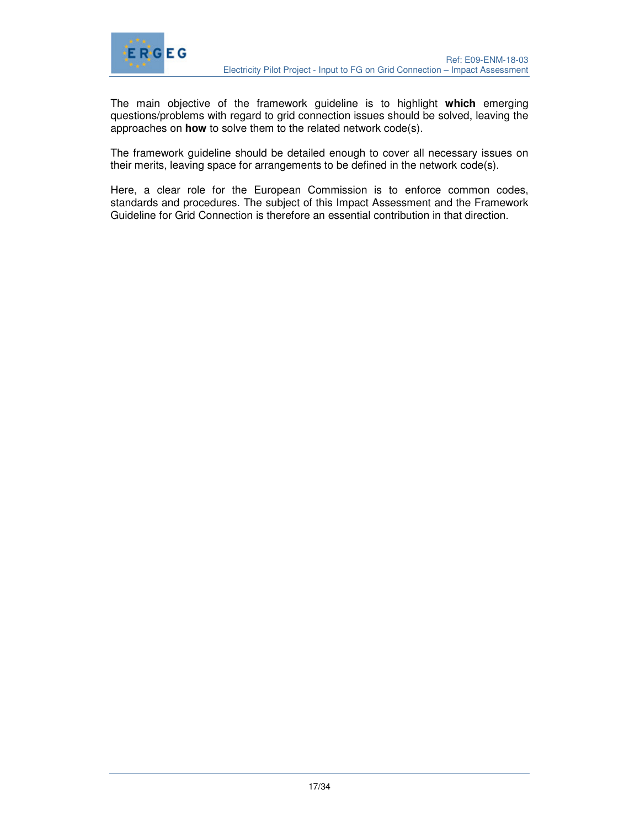

The main objective of the framework guideline is to highlight **which** emerging questions/problems with regard to grid connection issues should be solved, leaving the approaches on **how** to solve them to the related network code(s).

The framework guideline should be detailed enough to cover all necessary issues on their merits, leaving space for arrangements to be defined in the network code(s).

Here, a clear role for the European Commission is to enforce common codes, standards and procedures. The subject of this Impact Assessment and the Framework Guideline for Grid Connection is therefore an essential contribution in that direction.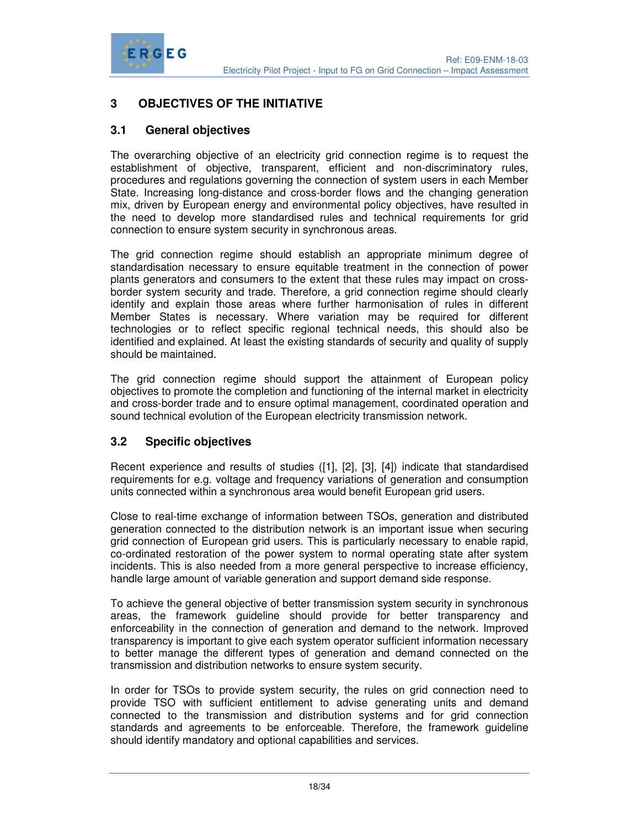

# **3 OBJECTIVES OF THE INITIATIVE**

### **3.1 General objectives**

The overarching objective of an electricity grid connection regime is to request the establishment of objective, transparent, efficient and non-discriminatory rules, procedures and regulations governing the connection of system users in each Member State. Increasing long-distance and cross-border flows and the changing generation mix, driven by European energy and environmental policy objectives, have resulted in the need to develop more standardised rules and technical requirements for grid connection to ensure system security in synchronous areas.

The grid connection regime should establish an appropriate minimum degree of standardisation necessary to ensure equitable treatment in the connection of power plants generators and consumers to the extent that these rules may impact on crossborder system security and trade. Therefore, a grid connection regime should clearly identify and explain those areas where further harmonisation of rules in different Member States is necessary. Where variation may be required for different technologies or to reflect specific regional technical needs, this should also be identified and explained. At least the existing standards of security and quality of supply should be maintained.

The grid connection regime should support the attainment of European policy objectives to promote the completion and functioning of the internal market in electricity and cross-border trade and to ensure optimal management, coordinated operation and sound technical evolution of the European electricity transmission network.

### **3.2 Specific objectives**

Recent experience and results of studies ([1], [2], [3], [4]) indicate that standardised requirements for e.g. voltage and frequency variations of generation and consumption units connected within a synchronous area would benefit European grid users.

Close to real-time exchange of information between TSOs, generation and distributed generation connected to the distribution network is an important issue when securing grid connection of European grid users. This is particularly necessary to enable rapid, co-ordinated restoration of the power system to normal operating state after system incidents. This is also needed from a more general perspective to increase efficiency, handle large amount of variable generation and support demand side response.

To achieve the general objective of better transmission system security in synchronous areas, the framework guideline should provide for better transparency and enforceability in the connection of generation and demand to the network. Improved transparency is important to give each system operator sufficient information necessary to better manage the different types of generation and demand connected on the transmission and distribution networks to ensure system security.

In order for TSOs to provide system security, the rules on grid connection need to provide TSO with sufficient entitlement to advise generating units and demand connected to the transmission and distribution systems and for grid connection standards and agreements to be enforceable. Therefore, the framework guideline should identify mandatory and optional capabilities and services.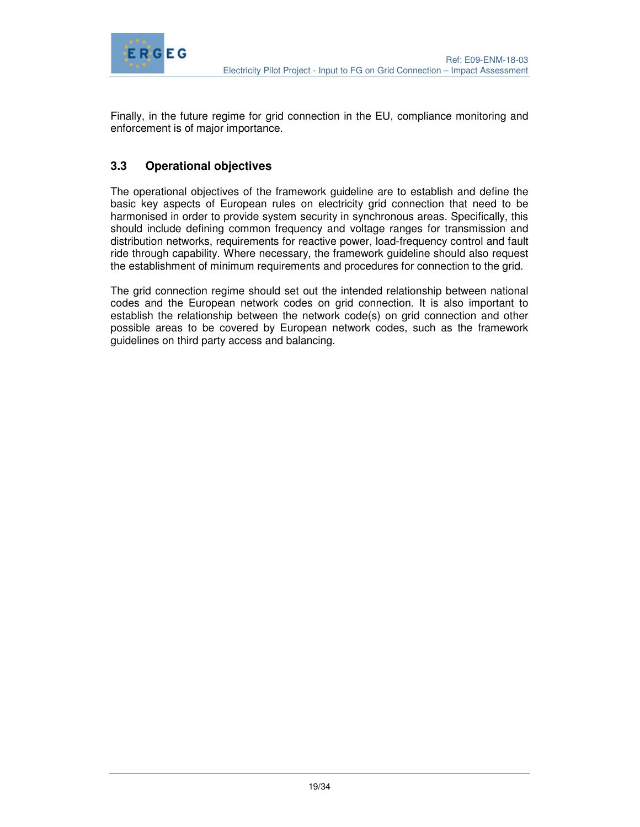

Finally, in the future regime for grid connection in the EU, compliance monitoring and enforcement is of major importance.

# **3.3 Operational objectives**

The operational objectives of the framework guideline are to establish and define the basic key aspects of European rules on electricity grid connection that need to be harmonised in order to provide system security in synchronous areas. Specifically, this should include defining common frequency and voltage ranges for transmission and distribution networks, requirements for reactive power, load-frequency control and fault ride through capability. Where necessary, the framework guideline should also request the establishment of minimum requirements and procedures for connection to the grid.

The grid connection regime should set out the intended relationship between national codes and the European network codes on grid connection. It is also important to establish the relationship between the network code(s) on grid connection and other possible areas to be covered by European network codes, such as the framework guidelines on third party access and balancing.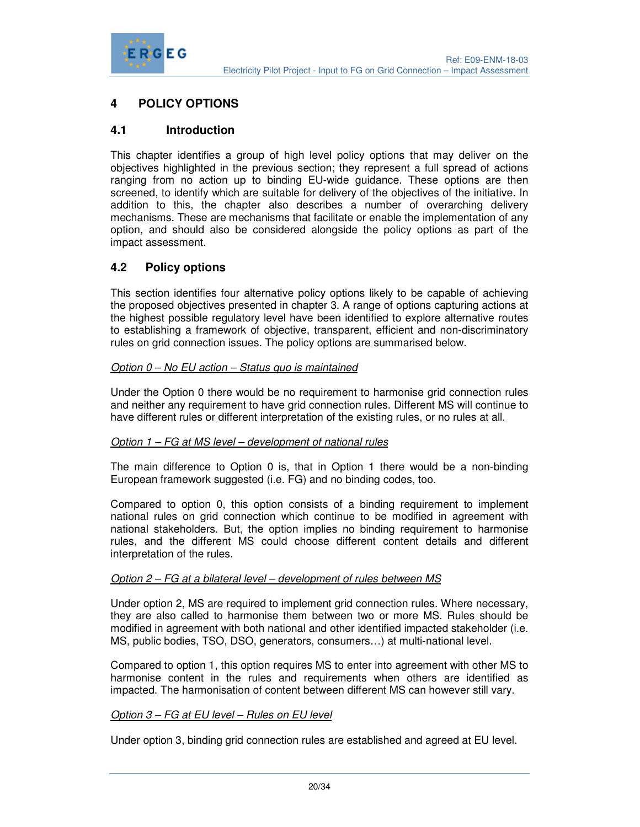

### **4 POLICY OPTIONS**

### **4.1 Introduction**

This chapter identifies a group of high level policy options that may deliver on the objectives highlighted in the previous section; they represent a full spread of actions ranging from no action up to binding EU-wide guidance. These options are then screened, to identify which are suitable for delivery of the objectives of the initiative. In addition to this, the chapter also describes a number of overarching delivery mechanisms. These are mechanisms that facilitate or enable the implementation of any option, and should also be considered alongside the policy options as part of the impact assessment.

### **4.2 Policy options**

This section identifies four alternative policy options likely to be capable of achieving the proposed objectives presented in chapter 3. A range of options capturing actions at the highest possible regulatory level have been identified to explore alternative routes to establishing a framework of objective, transparent, efficient and non-discriminatory rules on grid connection issues. The policy options are summarised below.

#### Option 0 – No EU action – Status quo is maintained

Under the Option 0 there would be no requirement to harmonise grid connection rules and neither any requirement to have grid connection rules. Different MS will continue to have different rules or different interpretation of the existing rules, or no rules at all.

#### Option 1 – FG at MS level – development of national rules

The main difference to Option 0 is, that in Option 1 there would be a non-binding European framework suggested (i.e. FG) and no binding codes, too.

Compared to option 0, this option consists of a binding requirement to implement national rules on grid connection which continue to be modified in agreement with national stakeholders. But, the option implies no binding requirement to harmonise rules, and the different MS could choose different content details and different interpretation of the rules.

#### Option 2 – FG at a bilateral level – development of rules between MS

Under option 2, MS are required to implement grid connection rules. Where necessary, they are also called to harmonise them between two or more MS. Rules should be modified in agreement with both national and other identified impacted stakeholder (i.e. MS, public bodies, TSO, DSO, generators, consumers…) at multi-national level.

Compared to option 1, this option requires MS to enter into agreement with other MS to harmonise content in the rules and requirements when others are identified as impacted. The harmonisation of content between different MS can however still vary.

#### Option 3 – FG at EU level – Rules on EU level

Under option 3, binding grid connection rules are established and agreed at EU level.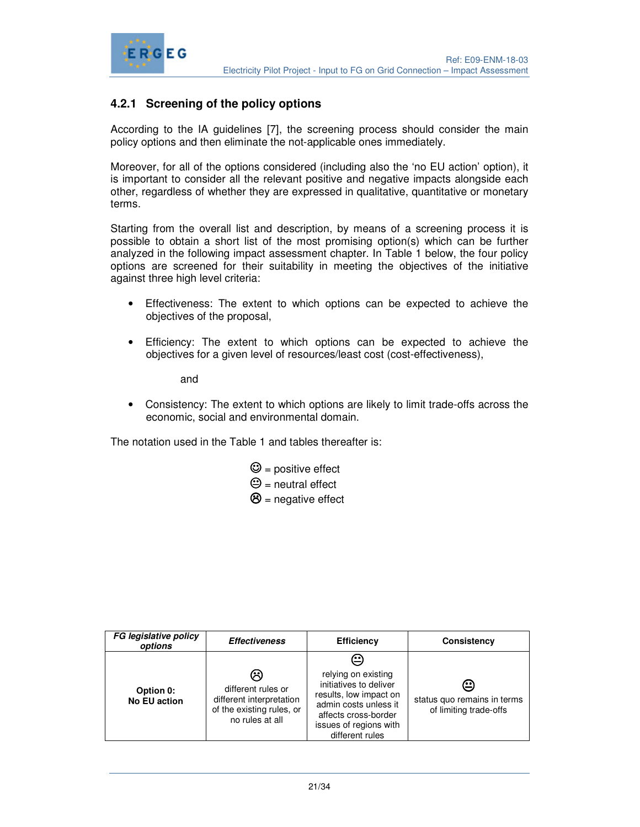

### **4.2.1 Screening of the policy options**

According to the IA guidelines [7], the screening process should consider the main policy options and then eliminate the not-applicable ones immediately.

Moreover, for all of the options considered (including also the 'no EU action' option), it is important to consider all the relevant positive and negative impacts alongside each other, regardless of whether they are expressed in qualitative, quantitative or monetary terms.

Starting from the overall list and description, by means of a screening process it is possible to obtain a short list of the most promising option(s) which can be further analyzed in the following impact assessment chapter. In Table 1 below, the four policy options are screened for their suitability in meeting the objectives of the initiative against three high level criteria:

- Effectiveness: The extent to which options can be expected to achieve the objectives of the proposal,
- Efficiency: The extent to which options can be expected to achieve the objectives for a given level of resources/least cost (cost-effectiveness),

and

• Consistency: The extent to which options are likely to limit trade-offs across the economic, social and environmental domain.

The notation used in the Table 1 and tables thereafter is:

- $\mathbf{\mathfrak{O}}$  = positive effect
- $\Theta$  = neutral effect
- $\bigotimes$  = negative effect

| <b>FG legislative policy</b><br>options | <b>Effectiveness</b>                                                                                | <b>Efficiency</b>                                                                                                                                                          | Consistency                                                |
|-----------------------------------------|-----------------------------------------------------------------------------------------------------|----------------------------------------------------------------------------------------------------------------------------------------------------------------------------|------------------------------------------------------------|
| Option 0:<br><b>No EU action</b>        | ణ<br>different rules or<br>different interpretation<br>of the existing rules, or<br>no rules at all | ⇔<br>relying on existing<br>initiatives to deliver<br>results, low impact on<br>admin costs unless it<br>affects cross-border<br>issues of regions with<br>different rules | ⊕<br>status quo remains in terms<br>of limiting trade-offs |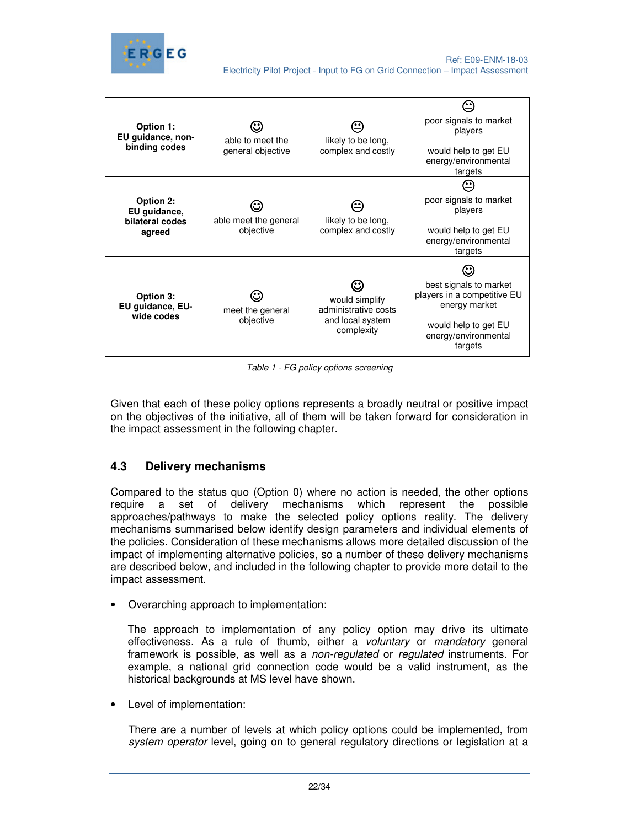

| Option 1:<br>EU guidance, non-<br>binding codes        | able to meet the<br>general objective | likely to be long,<br>complex and costly                                 | poor signals to market<br>players<br>would help to get EU<br>energy/environmental<br>targets                                      |
|--------------------------------------------------------|---------------------------------------|--------------------------------------------------------------------------|-----------------------------------------------------------------------------------------------------------------------------------|
| Option 2:<br>EU guidance,<br>bilateral codes<br>agreed | able meet the general<br>objective    | likely to be long,<br>complex and costly                                 | poor signals to market<br>players<br>would help to get EU<br>energy/environmental<br>targets                                      |
| Option 3:<br>EU guidance, EU-<br>wide codes            | meet the general<br>objective         | would simplify<br>administrative costs<br>and local system<br>complexity | best signals to market<br>players in a competitive EU<br>energy market<br>would help to get EU<br>energy/environmental<br>targets |

Table 1 - FG policy options screening

Given that each of these policy options represents a broadly neutral or positive impact on the objectives of the initiative, all of them will be taken forward for consideration in the impact assessment in the following chapter.

# **4.3 Delivery mechanisms**

Compared to the status quo (Option 0) where no action is needed, the other options require a set of delivery mechanisms which represent the possible approaches/pathways to make the selected policy options reality. The delivery mechanisms summarised below identify design parameters and individual elements of the policies. Consideration of these mechanisms allows more detailed discussion of the impact of implementing alternative policies, so a number of these delivery mechanisms are described below, and included in the following chapter to provide more detail to the impact assessment.

• Overarching approach to implementation:

The approach to implementation of any policy option may drive its ultimate effectiveness. As a rule of thumb, either a *voluntary* or *mandatory* general framework is possible, as well as a non-regulated or regulated instruments. For example, a national grid connection code would be a valid instrument, as the historical backgrounds at MS level have shown.

• Level of implementation:

There are a number of levels at which policy options could be implemented, from system operator level, going on to general regulatory directions or legislation at a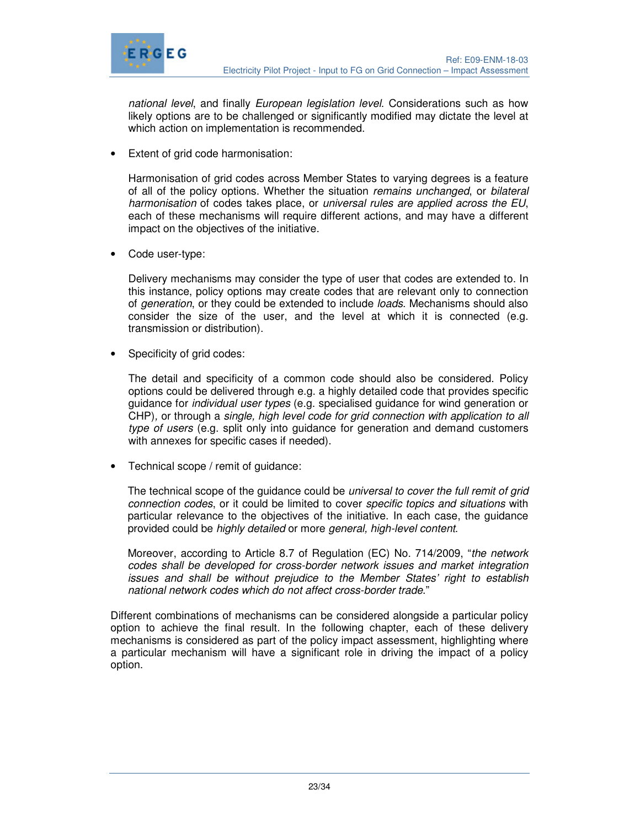

national level, and finally European legislation level. Considerations such as how likely options are to be challenged or significantly modified may dictate the level at which action on implementation is recommended.

**Extent of grid code harmonisation:** 

Harmonisation of grid codes across Member States to varying degrees is a feature of all of the policy options. Whether the situation remains unchanged, or bilateral harmonisation of codes takes place, or universal rules are applied across the EU, each of these mechanisms will require different actions, and may have a different impact on the objectives of the initiative.

Code user-type:

Delivery mechanisms may consider the type of user that codes are extended to. In this instance, policy options may create codes that are relevant only to connection of generation, or they could be extended to include loads. Mechanisms should also consider the size of the user, and the level at which it is connected (e.g. transmission or distribution).

Specificity of grid codes:

The detail and specificity of a common code should also be considered. Policy options could be delivered through e.g. a highly detailed code that provides specific guidance for individual user types (e.g. specialised guidance for wind generation or CHP), or through a single, high level code for grid connection with application to all type of users (e.g. split only into guidance for generation and demand customers with annexes for specific cases if needed).

• Technical scope / remit of guidance:

The technical scope of the guidance could be *universal to cover the full remit of grid* connection codes, or it could be limited to cover specific topics and situations with particular relevance to the objectives of the initiative. In each case, the guidance provided could be highly detailed or more general, high-level content.

Moreover, according to Article 8.7 of Regulation (EC) No. 714/2009, "the network codes shall be developed for cross-border network issues and market integration issues and shall be without prejudice to the Member States' right to establish national network codes which do not affect cross-border trade."

Different combinations of mechanisms can be considered alongside a particular policy option to achieve the final result. In the following chapter, each of these delivery mechanisms is considered as part of the policy impact assessment, highlighting where a particular mechanism will have a significant role in driving the impact of a policy option.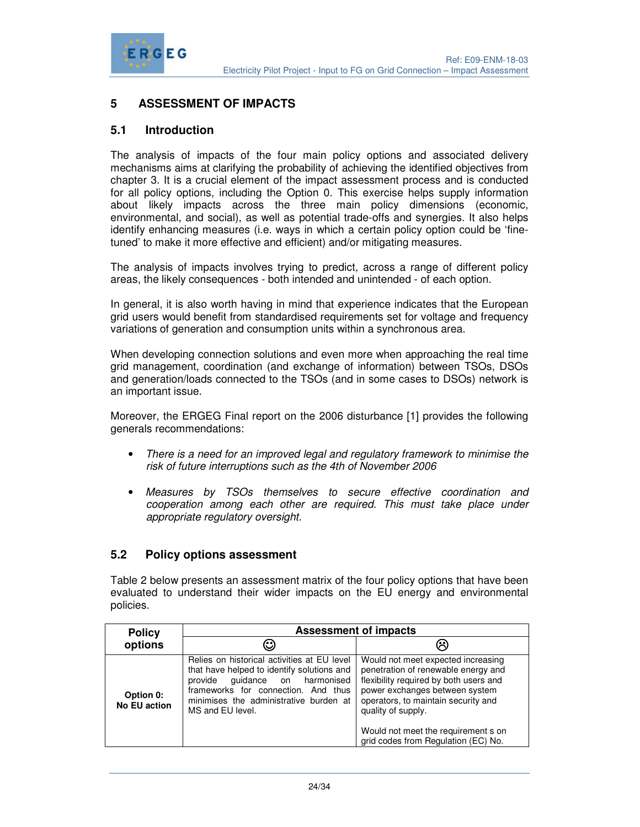

### **5 ASSESSMENT OF IMPACTS**

### **5.1 Introduction**

The analysis of impacts of the four main policy options and associated delivery mechanisms aims at clarifying the probability of achieving the identified objectives from chapter 3. It is a crucial element of the impact assessment process and is conducted for all policy options, including the Option 0. This exercise helps supply information about likely impacts across the three main policy dimensions (economic, environmental, and social), as well as potential trade-offs and synergies. It also helps identify enhancing measures (i.e. ways in which a certain policy option could be 'finetuned' to make it more effective and efficient) and/or mitigating measures.

The analysis of impacts involves trying to predict, across a range of different policy areas, the likely consequences - both intended and unintended - of each option.

In general, it is also worth having in mind that experience indicates that the European grid users would benefit from standardised requirements set for voltage and frequency variations of generation and consumption units within a synchronous area.

When developing connection solutions and even more when approaching the real time grid management, coordination (and exchange of information) between TSOs, DSOs and generation/loads connected to the TSOs (and in some cases to DSOs) network is an important issue.

Moreover, the ERGEG Final report on the 2006 disturbance [1] provides the following generals recommendations:

- There is a need for an improved legal and regulatory framework to minimise the risk of future interruptions such as the 4th of November 2006
- Measures by TSOs themselves to secure effective coordination and cooperation among each other are required. This must take place under appropriate regulatory oversight.

#### **5.2 Policy options assessment**

Table 2 below presents an assessment matrix of the four policy options that have been evaluated to understand their wider impacts on the EU energy and environmental policies.

| <b>Policy</b>             | <b>Assessment of impacts</b>                                                                                                                                                                                                        |                                                                                                                                                                                                                                                                                                  |  |
|---------------------------|-------------------------------------------------------------------------------------------------------------------------------------------------------------------------------------------------------------------------------------|--------------------------------------------------------------------------------------------------------------------------------------------------------------------------------------------------------------------------------------------------------------------------------------------------|--|
| options                   | ☺                                                                                                                                                                                                                                   |                                                                                                                                                                                                                                                                                                  |  |
| Option 0:<br>No EU action | Relies on historical activities at EU level<br>that have helped to identify solutions and<br>guidance on harmonised<br>provide<br>frameworks for connection. And thus<br>minimises the administrative burden at<br>MS and EU level. | Would not meet expected increasing<br>penetration of renewable energy and<br>flexibility required by both users and<br>power exchanges between system<br>operators, to maintain security and<br>quality of supply.<br>Would not meet the requirement s on<br>grid codes from Regulation (EC) No. |  |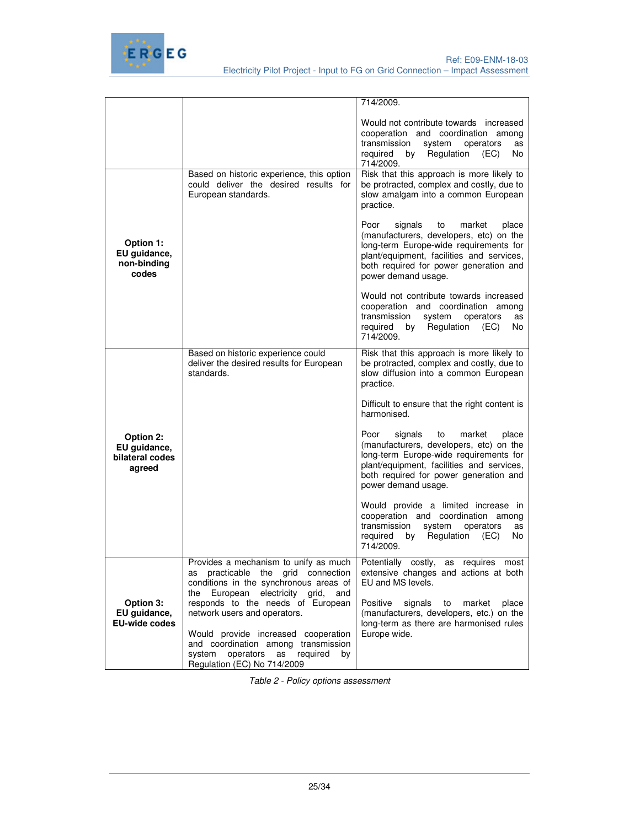

|                                                        |                                                                                                                                                                                                        | 714/2009.                                                                                                                                                                                                                                   |
|--------------------------------------------------------|--------------------------------------------------------------------------------------------------------------------------------------------------------------------------------------------------------|---------------------------------------------------------------------------------------------------------------------------------------------------------------------------------------------------------------------------------------------|
|                                                        |                                                                                                                                                                                                        | Would not contribute towards increased<br>cooperation and coordination among<br>transmission<br>system<br>operators<br>as<br>Regulation<br>(EC)<br>No.<br>required<br>by<br>714/2009.                                                       |
|                                                        | Based on historic experience, this option<br>could deliver the desired results for<br>European standards.                                                                                              | Risk that this approach is more likely to<br>be protracted, complex and costly, due to<br>slow amalgam into a common European<br>practice.                                                                                                  |
| Option 1:<br>EU guidance,<br>non-binding<br>codes      |                                                                                                                                                                                                        | Poor<br>signals<br>market<br>to<br>place<br>(manufacturers, developers, etc) on the<br>long-term Europe-wide requirements for<br>plant/equipment, facilities and services,<br>both required for power generation and<br>power demand usage. |
|                                                        |                                                                                                                                                                                                        | Would not contribute towards increased<br>cooperation and coordination among<br>transmission<br>system<br>operators<br>as<br>required<br>Regulation (EC)<br>by<br>No.<br>714/2009.                                                          |
|                                                        | Based on historic experience could<br>deliver the desired results for European<br>standards.                                                                                                           | Risk that this approach is more likely to<br>be protracted, complex and costly, due to<br>slow diffusion into a common European<br>practice.                                                                                                |
|                                                        |                                                                                                                                                                                                        | Difficult to ensure that the right content is<br>harmonised.                                                                                                                                                                                |
| Option 2:<br>EU guidance,<br>bilateral codes<br>agreed |                                                                                                                                                                                                        | Poor<br>signals<br>to<br>market<br>place<br>(manufacturers, developers, etc) on the<br>long-term Europe-wide requirements for<br>plant/equipment, facilities and services,<br>both required for power generation and<br>power demand usage. |
|                                                        |                                                                                                                                                                                                        | Would provide a limited increase in<br>cooperation and coordination among<br>transmission<br>system<br>operators<br>as<br>required<br>Regulation<br>(EC)<br>by<br>No.<br>714/2009.                                                          |
| Option 3:                                              | Provides a mechanism to unify as much<br>as practicable the grid connection<br>conditions in the synchronous areas of<br>European electricity grid,<br>the<br>and<br>responds to the needs of European | Potentially<br>$\overline{\text{cost}}$ ly,<br>requires<br>most<br>as<br>extensive changes and actions at both<br>EU and MS levels.<br>Positive<br>signals<br>to<br>market<br>place                                                         |
| EU guidance,<br><b>EU-wide codes</b>                   | network users and operators.<br>Would provide increased cooperation<br>and coordination among transmission                                                                                             | (manufacturers, developers, etc.) on the<br>long-term as there are harmonised rules<br>Europe wide.                                                                                                                                         |
|                                                        | system<br>operators<br>as required<br>by<br>Regulation (EC) No 714/2009                                                                                                                                |                                                                                                                                                                                                                                             |

Table 2 - Policy options assessment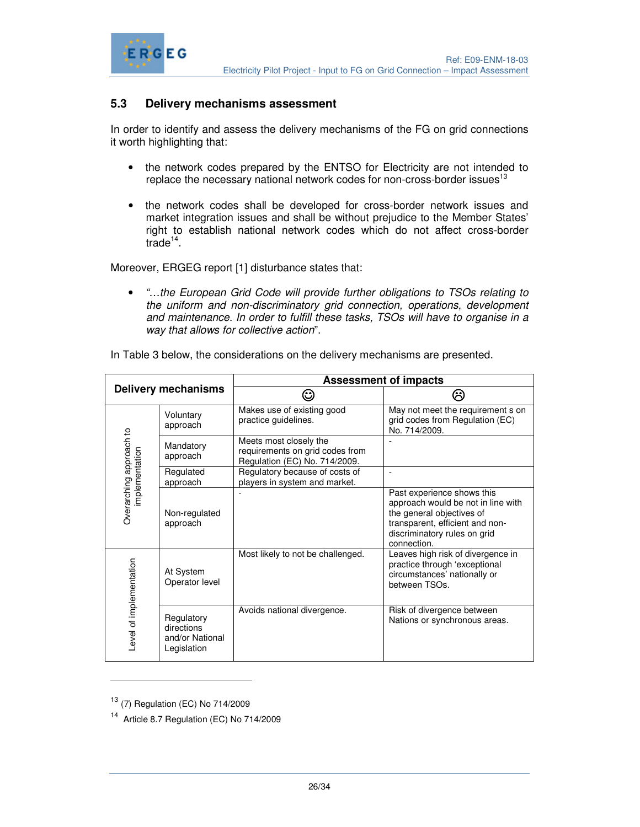

### **5.3 Delivery mechanisms assessment**

In order to identify and assess the delivery mechanisms of the FG on grid connections it worth highlighting that:

- the network codes prepared by the ENTSO for Electricity are not intended to replace the necessary national network codes for non-cross-border issues<sup>13</sup>
- the network codes shall be developed for cross-border network issues and market integration issues and shall be without prejudice to the Member States' right to establish national network codes which do not affect cross-border trade<sup>14</sup>.

Moreover, ERGEG report [1] disturbance states that:

• "…the European Grid Code will provide further obligations to TSOs relating to the uniform and non-discriminatory grid connection, operations, development and maintenance. In order to fulfill these tasks, TSOs will have to organise in a way that allows for collective action".

| <b>Delivery mechanisms</b> |                                                            | <b>Assessment of impacts</b>                                                               |                                                                                                                                                                                 |  |
|----------------------------|------------------------------------------------------------|--------------------------------------------------------------------------------------------|---------------------------------------------------------------------------------------------------------------------------------------------------------------------------------|--|
|                            |                                                            |                                                                                            |                                                                                                                                                                                 |  |
|                            | Voluntary<br>approach                                      | Makes use of existing good<br>practice guidelines.                                         | May not meet the requirement s on<br>grid codes from Regulation (EC)<br>No. 714/2009.                                                                                           |  |
|                            | Mandatory<br>approach                                      | Meets most closely the<br>requirements on grid codes from<br>Regulation (EC) No. 714/2009. |                                                                                                                                                                                 |  |
| implementation             | Regulated<br>approach                                      | Regulatory because of costs of<br>players in system and market.                            |                                                                                                                                                                                 |  |
| Overarching approach to    | Non-regulated<br>approach                                  |                                                                                            | Past experience shows this<br>approach would be not in line with<br>the general objectives of<br>transparent, efficient and non-<br>discriminatory rules on grid<br>connection. |  |
| Level of implementation    | At System<br>Operator level                                | Most likely to not be challenged.                                                          | Leaves high risk of divergence in<br>practice through 'exceptional<br>circumstances' nationally or<br>between TSOs.                                                             |  |
|                            | Regulatory<br>directions<br>and/or National<br>Legislation | Avoids national divergence.                                                                | Risk of divergence between<br>Nations or synchronous areas.                                                                                                                     |  |

In Table 3 below, the considerations on the delivery mechanisms are presented.

<sup>13</sup> (7) Regulation (EC) No 714/2009

-

<sup>14</sup> Article 8.7 Regulation (EC) No 714/2009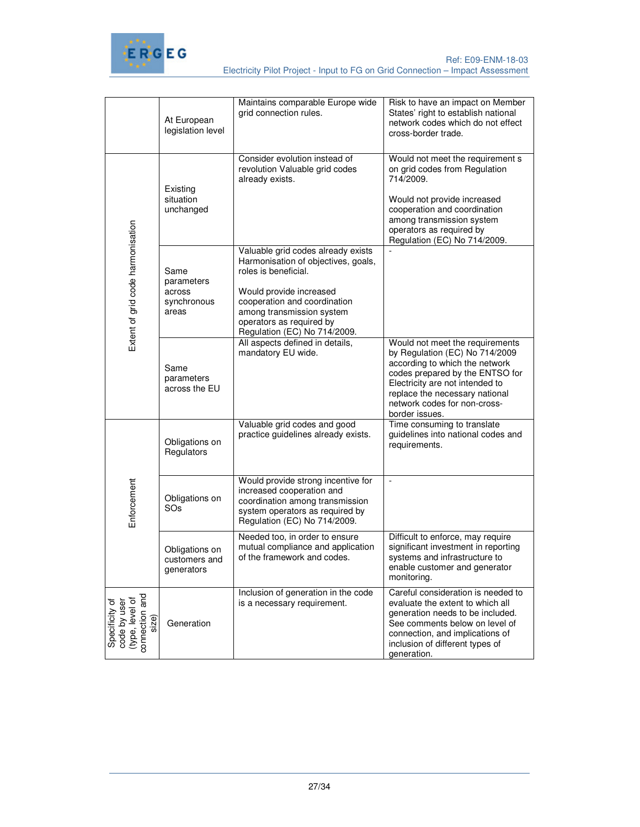

|                                                                                        | At European<br>legislation level                     | Maintains comparable Europe wide<br>grid connection rules.                                                                                                                                                                                            | Risk to have an impact on Member<br>States' right to establish national<br>network codes which do not effect<br>cross-border trade.                                                                                                                           |
|----------------------------------------------------------------------------------------|------------------------------------------------------|-------------------------------------------------------------------------------------------------------------------------------------------------------------------------------------------------------------------------------------------------------|---------------------------------------------------------------------------------------------------------------------------------------------------------------------------------------------------------------------------------------------------------------|
|                                                                                        | Existing<br>situation<br>unchanged                   | Consider evolution instead of<br>revolution Valuable grid codes<br>already exists.                                                                                                                                                                    | Would not meet the requirement s<br>on grid codes from Regulation<br>714/2009.<br>Would not provide increased<br>cooperation and coordination<br>among transmission system<br>operators as required by<br>Regulation (EC) No 714/2009.                        |
| Extent of grid code harmonisation                                                      | Same<br>parameters<br>across<br>synchronous<br>areas | Valuable grid codes already exists<br>Harmonisation of objectives, goals,<br>roles is beneficial.<br>Would provide increased<br>cooperation and coordination<br>among transmission system<br>operators as required by<br>Regulation (EC) No 714/2009. |                                                                                                                                                                                                                                                               |
|                                                                                        | Same<br>parameters<br>across the EU                  | All aspects defined in details,<br>mandatory EU wide.                                                                                                                                                                                                 | Would not meet the requirements<br>by Regulation (EC) No 714/2009<br>according to which the network<br>codes prepared by the ENTSO for<br>Electricity are not intended to<br>replace the necessary national<br>network codes for non-cross-<br>border issues. |
|                                                                                        | Obligations on<br>Regulators                         | Valuable grid codes and good<br>practice guidelines already exists.                                                                                                                                                                                   | Time consuming to translate<br>guidelines into national codes and<br>requirements.                                                                                                                                                                            |
| Enforcement                                                                            | Obligations on<br>SOs                                | Would provide strong incentive for<br>increased cooperation and<br>coordination among transmission<br>system operators as required by<br>Regulation (EC) No 714/2009.                                                                                 | $\Box$                                                                                                                                                                                                                                                        |
|                                                                                        | Obligations on<br>customers and<br>generators        | Needed too, in order to ensure<br>mutual compliance and application<br>of the framework and codes.                                                                                                                                                    | Difficult to enforce, may require<br>significant investment in reporting<br>systems and infrastructure to<br>enable customer and generator<br>monitoring.                                                                                                     |
| Specificity of<br>code by user<br>code by user<br>onnection and<br>connection<br>size) | Generation                                           | Inclusion of generation in the code<br>is a necessary requirement.                                                                                                                                                                                    | Careful consideration is needed to<br>evaluate the extent to which all<br>generation needs to be included.<br>See comments below on level of<br>connection, and implications of<br>inclusion of different types of<br>generation.                             |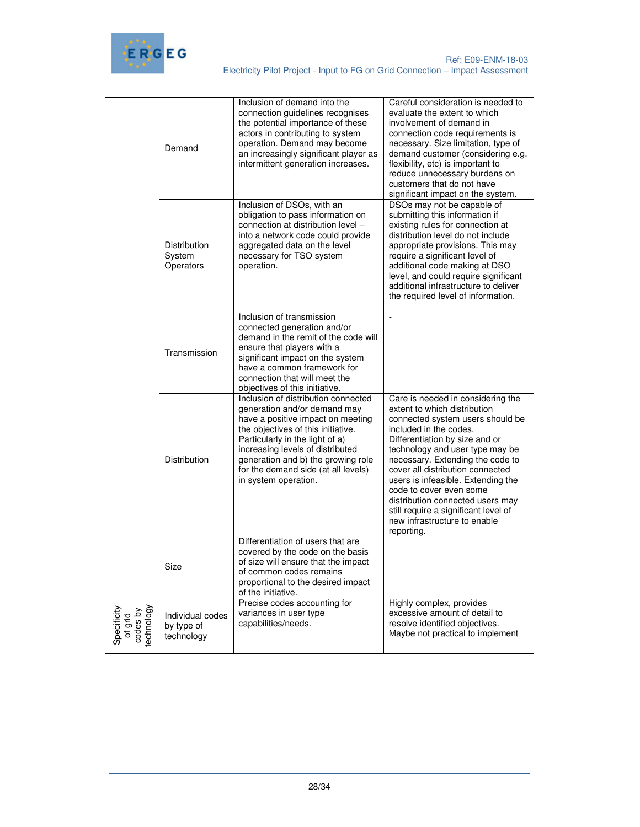

|                                                  | Demand                                       | Inclusion of demand into the<br>connection guidelines recognises<br>the potential importance of these<br>actors in contributing to system<br>operation. Demand may become<br>an increasingly significant player as<br>intermittent generation increases.                                                                   | Careful consideration is needed to<br>evaluate the extent to which<br>involvement of demand in<br>connection code requirements is<br>necessary. Size limitation, type of<br>demand customer (considering e.g.<br>flexibility, etc) is important to<br>reduce unnecessary burdens on<br>customers that do not have<br>significant impact on the system.                                                                                                                  |
|--------------------------------------------------|----------------------------------------------|----------------------------------------------------------------------------------------------------------------------------------------------------------------------------------------------------------------------------------------------------------------------------------------------------------------------------|-------------------------------------------------------------------------------------------------------------------------------------------------------------------------------------------------------------------------------------------------------------------------------------------------------------------------------------------------------------------------------------------------------------------------------------------------------------------------|
|                                                  | Distribution<br>System<br>Operators          | Inclusion of DSOs, with an<br>obligation to pass information on<br>connection at distribution level -<br>into a network code could provide<br>aggregated data on the level<br>necessary for TSO system<br>operation.                                                                                                       | DSOs may not be capable of<br>submitting this information if<br>existing rules for connection at<br>distribution level do not include<br>appropriate provisions. This may<br>require a significant level of<br>additional code making at DSO<br>level, and could require significant<br>additional infrastructure to deliver<br>the required level of information.                                                                                                      |
|                                                  | Transmission                                 | Inclusion of transmission<br>connected generation and/or<br>demand in the remit of the code will<br>ensure that players with a<br>significant impact on the system<br>have a common framework for<br>connection that will meet the<br>objectives of this initiative.                                                       | $\overline{a}$                                                                                                                                                                                                                                                                                                                                                                                                                                                          |
|                                                  | Distribution                                 | Inclusion of distribution connected<br>generation and/or demand may<br>have a positive impact on meeting<br>the objectives of this initiative.<br>Particularly in the light of a)<br>increasing levels of distributed<br>generation and b) the growing role<br>for the demand side (at all levels)<br>in system operation. | Care is needed in considering the<br>extent to which distribution<br>connected system users should be<br>included in the codes.<br>Differentiation by size and or<br>technology and user type may be<br>necessary. Extending the code to<br>cover all distribution connected<br>users is infeasible. Extending the<br>code to cover even some<br>distribution connected users may<br>still require a significant level of<br>new infrastructure to enable<br>reporting. |
|                                                  | Size                                         | Differentiation of users that are<br>covered by the code on the basis<br>of size will ensure that the impact<br>of common codes remains<br>proportional to the desired impact<br>of the initiative.                                                                                                                        |                                                                                                                                                                                                                                                                                                                                                                                                                                                                         |
| Specificity<br>of grid<br>codes by<br>technology | Individual codes<br>by type of<br>technology | Precise codes accounting for<br>variances in user type<br>capabilities/needs.                                                                                                                                                                                                                                              | Highly complex, provides<br>excessive amount of detail to<br>resolve identified objectives.<br>Maybe not practical to implement                                                                                                                                                                                                                                                                                                                                         |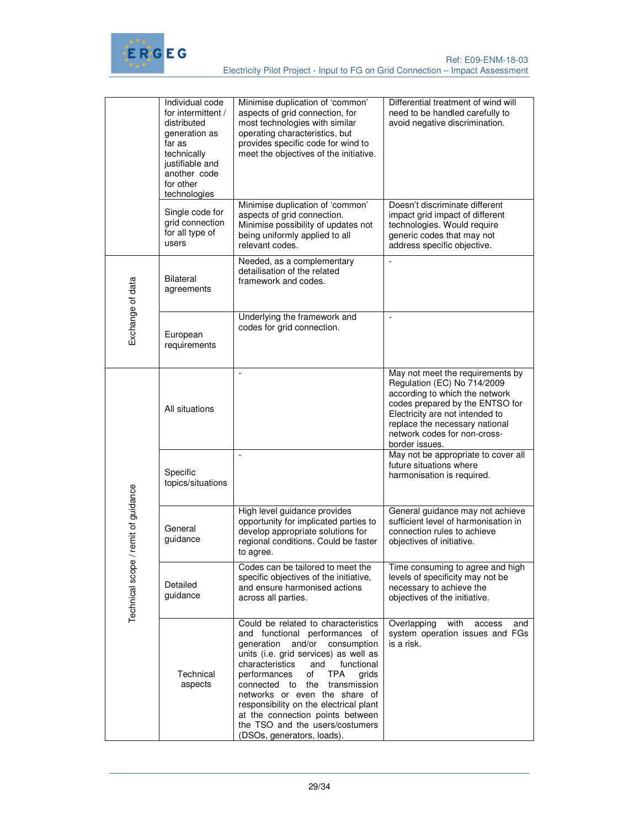

|                     | Individual code<br>for intermittent /<br>distributed<br>generation as<br>far as<br>technically<br>justifiable and<br>another code<br>for other<br>technologies | Minimise duplication of 'common'<br>aspects of grid connection, for<br>most technologies with similar<br>operating characteristics, but<br>provides specific code for wind to<br>meet the objectives of the initiative.                                                                                                                                                                                                                                    | Differential treatment of wind will<br>need to be handled carefully to<br>avoid negative discrimination.                                                                                                                                                    |
|---------------------|----------------------------------------------------------------------------------------------------------------------------------------------------------------|------------------------------------------------------------------------------------------------------------------------------------------------------------------------------------------------------------------------------------------------------------------------------------------------------------------------------------------------------------------------------------------------------------------------------------------------------------|-------------------------------------------------------------------------------------------------------------------------------------------------------------------------------------------------------------------------------------------------------------|
|                     | Single code for<br>grid connection<br>for all type of<br>users                                                                                                 | Minimise duplication of 'common'<br>aspects of grid connection.<br>Minimise possibility of updates not<br>being uniformly applied to all<br>relevant codes.                                                                                                                                                                                                                                                                                                | Doesn't discriminate different<br>impact grid impact of different<br>technologies. Would require<br>generic codes that may not<br>address specific objective.                                                                                               |
|                     | Bilateral<br>agreements                                                                                                                                        | Needed, as a complementary<br>detailisation of the related<br>framework and codes.                                                                                                                                                                                                                                                                                                                                                                         | $\overline{a}$                                                                                                                                                                                                                                              |
| Exchange of data    | European<br>requirements                                                                                                                                       | Underlying the framework and<br>codes for grid connection.                                                                                                                                                                                                                                                                                                                                                                                                 | $\overline{\phantom{a}}$                                                                                                                                                                                                                                    |
|                     | All situations                                                                                                                                                 | ÷,                                                                                                                                                                                                                                                                                                                                                                                                                                                         | May not meet the requirements by<br>Regulation (EC) No 714/2009<br>according to which the network<br>codes prepared by the ENTSO for<br>Electricity are not intended to<br>replace the necessary national<br>network codes for non-cross-<br>border issues. |
|                     | Specific<br>topics/situations                                                                                                                                  | $\frac{1}{2}$                                                                                                                                                                                                                                                                                                                                                                                                                                              | May not be appropriate to cover all<br>future situations where<br>harmonisation is required.                                                                                                                                                                |
| e/remit of guidance | General<br>guidance                                                                                                                                            | High level guidance provides<br>opportunity for implicated parties to<br>develop appropriate solutions for<br>regional conditions. Could be faster<br>to agree.                                                                                                                                                                                                                                                                                            | General guidance may not achieve<br>sufficient level of harmonisation in<br>connection rules to achieve<br>objectives of initiative.                                                                                                                        |
| Technical scop      | Detailed<br>guidance                                                                                                                                           | Codes can be tailored to meet the<br>specific objectives of the initiative,<br>and ensure harmonised actions<br>across all parties.                                                                                                                                                                                                                                                                                                                        | Time consuming to agree and high<br>levels of specificity may not be<br>necessary to achieve the<br>objectives of the initiative.                                                                                                                           |
|                     | Technical<br>aspects                                                                                                                                           | Could be related to characteristics<br>and functional performances of<br>generation<br>and/or<br>consumption<br>units (i.e. grid services) as well as<br>characteristics<br>functional<br>and<br>performances<br>of<br>TPA<br>grids<br>connected to<br>the<br>transmission<br>networks or even the share of<br>responsibility on the electrical plant<br>at the connection points between<br>the TSO and the users/costumers<br>(DSOs, generators, loads). | Overlapping<br>with<br>access<br>and<br>system operation issues and FGs<br>is a risk.                                                                                                                                                                       |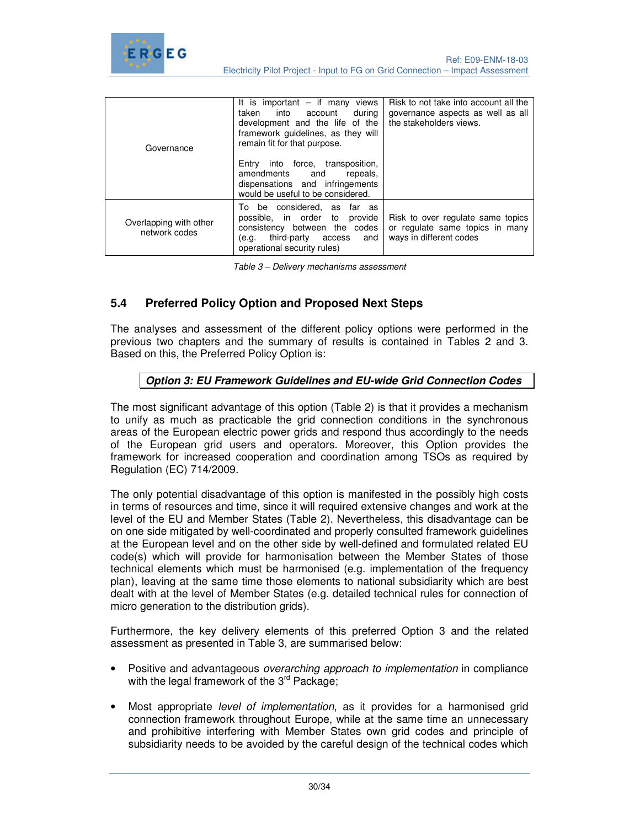

| Governance                              | It is important $-$ if many views<br>into account<br>during<br>taken<br>development and the life of the<br>framework guidelines, as they will<br>remain fit for that purpose.<br>into force, transposition,<br>Entry<br>amendments and<br>repeals,<br>dispensations and infringements<br>would be useful to be considered. | Risk to not take into account all the<br>governance aspects as well as all<br>the stakeholders views. |
|-----------------------------------------|----------------------------------------------------------------------------------------------------------------------------------------------------------------------------------------------------------------------------------------------------------------------------------------------------------------------------|-------------------------------------------------------------------------------------------------------|
| Overlapping with other<br>network codes | To be considered, as far as<br>possible, in order to provide<br>consistency between the codes<br>third-party access<br>and<br>(e.g.<br>operational security rules)                                                                                                                                                         | Risk to over regulate same topics<br>or regulate same topics in many<br>ways in different codes       |

|  | Table 3 - Delivery mechanisms assessment |
|--|------------------------------------------|
|  |                                          |

### **5.4 Preferred Policy Option and Proposed Next Steps**

The analyses and assessment of the different policy options were performed in the previous two chapters and the summary of results is contained in Tables 2 and 3. Based on this, the Preferred Policy Option is:

#### **Option 3: EU Framework Guidelines and EU-wide Grid Connection Codes**

The most significant advantage of this option (Table 2) is that it provides a mechanism to unify as much as practicable the grid connection conditions in the synchronous areas of the European electric power grids and respond thus accordingly to the needs of the European grid users and operators. Moreover, this Option provides the framework for increased cooperation and coordination among TSOs as required by Regulation (EC) 714/2009.

The only potential disadvantage of this option is manifested in the possibly high costs in terms of resources and time, since it will required extensive changes and work at the level of the EU and Member States (Table 2). Nevertheless, this disadvantage can be on one side mitigated by well-coordinated and properly consulted framework guidelines at the European level and on the other side by well-defined and formulated related EU code(s) which will provide for harmonisation between the Member States of those technical elements which must be harmonised (e.g. implementation of the frequency plan), leaving at the same time those elements to national subsidiarity which are best dealt with at the level of Member States (e.g. detailed technical rules for connection of micro generation to the distribution grids).

Furthermore, the key delivery elements of this preferred Option 3 and the related assessment as presented in Table 3, are summarised below:

- Positive and advantageous *overarching approach to implementation* in compliance with the legal framework of the  $3<sup>rd</sup>$  Package;
- Most appropriate level of implementation, as it provides for a harmonised grid connection framework throughout Europe, while at the same time an unnecessary and prohibitive interfering with Member States own grid codes and principle of subsidiarity needs to be avoided by the careful design of the technical codes which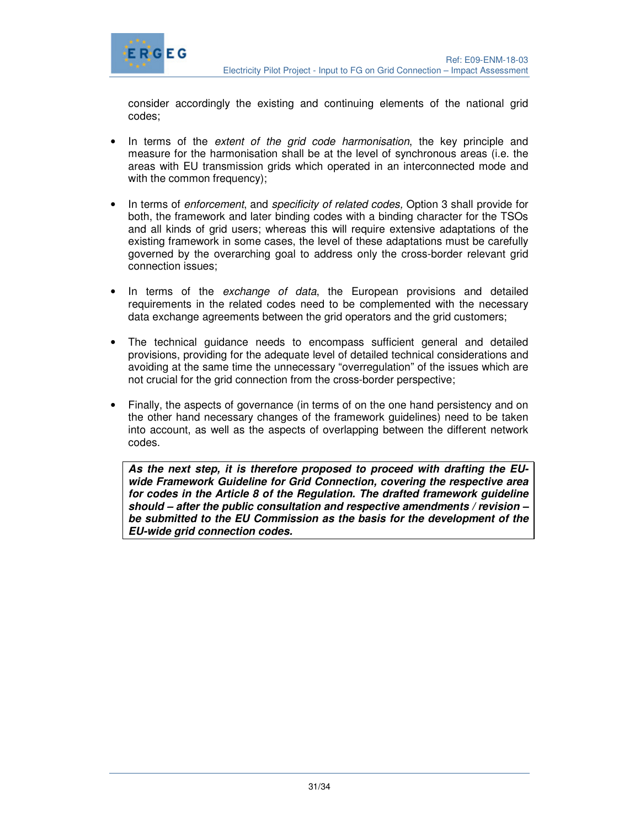

consider accordingly the existing and continuing elements of the national grid codes;

- In terms of the *extent of the grid code harmonisation*, the key principle and measure for the harmonisation shall be at the level of synchronous areas (i.e. the areas with EU transmission grids which operated in an interconnected mode and with the common frequency);
- In terms of *enforcement*, and *specificity of related codes*. Option 3 shall provide for both, the framework and later binding codes with a binding character for the TSOs and all kinds of grid users; whereas this will require extensive adaptations of the existing framework in some cases, the level of these adaptations must be carefully governed by the overarching goal to address only the cross-border relevant grid connection issues;
- In terms of the *exchange of data*, the European provisions and detailed requirements in the related codes need to be complemented with the necessary data exchange agreements between the grid operators and the grid customers;
- The technical guidance needs to encompass sufficient general and detailed provisions, providing for the adequate level of detailed technical considerations and avoiding at the same time the unnecessary "overregulation" of the issues which are not crucial for the grid connection from the cross-border perspective;
- Finally, the aspects of governance (in terms of on the one hand persistency and on the other hand necessary changes of the framework guidelines) need to be taken into account, as well as the aspects of overlapping between the different network codes.

**As the next step, it is therefore proposed to proceed with drafting the EUwide Framework Guideline for Grid Connection, covering the respective area for codes in the Article 8 of the Regulation. The drafted framework guideline should – after the public consultation and respective amendments / revision – be submitted to the EU Commission as the basis for the development of the EU-wide grid connection codes.**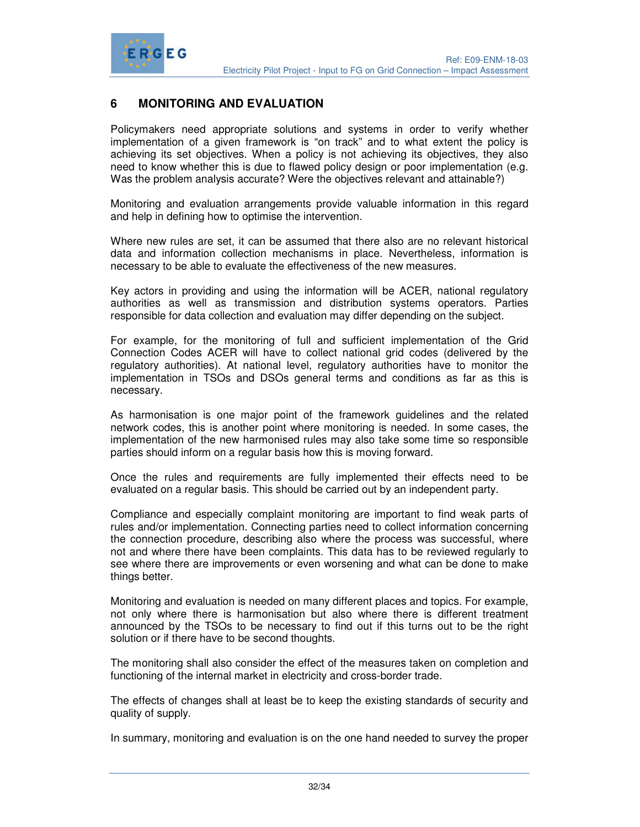

# **6 MONITORING AND EVALUATION**

Policymakers need appropriate solutions and systems in order to verify whether implementation of a given framework is "on track" and to what extent the policy is achieving its set objectives. When a policy is not achieving its objectives, they also need to know whether this is due to flawed policy design or poor implementation (e.g. Was the problem analysis accurate? Were the objectives relevant and attainable?)

Monitoring and evaluation arrangements provide valuable information in this regard and help in defining how to optimise the intervention.

Where new rules are set, it can be assumed that there also are no relevant historical data and information collection mechanisms in place. Nevertheless, information is necessary to be able to evaluate the effectiveness of the new measures.

Key actors in providing and using the information will be ACER, national regulatory authorities as well as transmission and distribution systems operators. Parties responsible for data collection and evaluation may differ depending on the subject.

For example, for the monitoring of full and sufficient implementation of the Grid Connection Codes ACER will have to collect national grid codes (delivered by the regulatory authorities). At national level, regulatory authorities have to monitor the implementation in TSOs and DSOs general terms and conditions as far as this is necessary.

As harmonisation is one major point of the framework guidelines and the related network codes, this is another point where monitoring is needed. In some cases, the implementation of the new harmonised rules may also take some time so responsible parties should inform on a regular basis how this is moving forward.

Once the rules and requirements are fully implemented their effects need to be evaluated on a regular basis. This should be carried out by an independent party.

Compliance and especially complaint monitoring are important to find weak parts of rules and/or implementation. Connecting parties need to collect information concerning the connection procedure, describing also where the process was successful, where not and where there have been complaints. This data has to be reviewed regularly to see where there are improvements or even worsening and what can be done to make things better.

Monitoring and evaluation is needed on many different places and topics. For example, not only where there is harmonisation but also where there is different treatment announced by the TSOs to be necessary to find out if this turns out to be the right solution or if there have to be second thoughts.

The monitoring shall also consider the effect of the measures taken on completion and functioning of the internal market in electricity and cross-border trade.

The effects of changes shall at least be to keep the existing standards of security and quality of supply.

In summary, monitoring and evaluation is on the one hand needed to survey the proper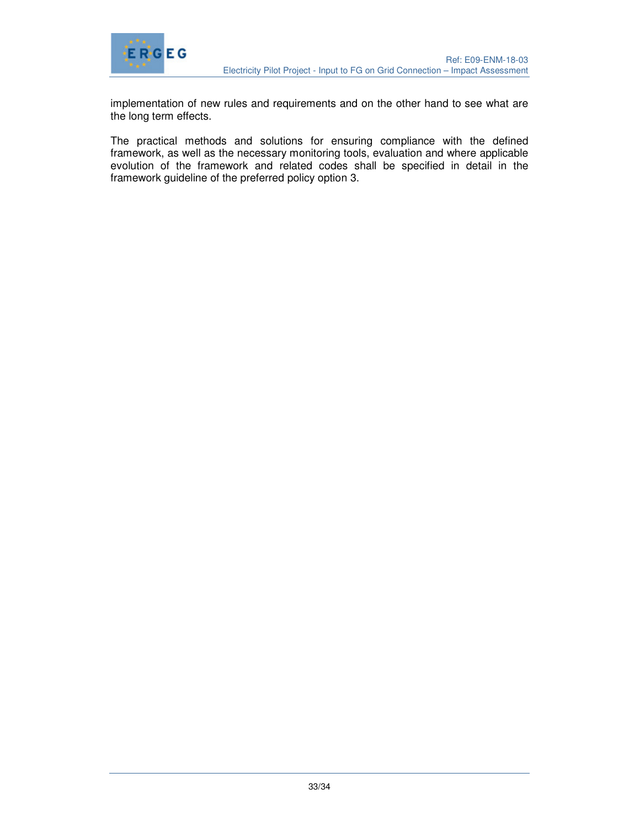

implementation of new rules and requirements and on the other hand to see what are the long term effects.

The practical methods and solutions for ensuring compliance with the defined framework, as well as the necessary monitoring tools, evaluation and where applicable evolution of the framework and related codes shall be specified in detail in the framework guideline of the preferred policy option 3.